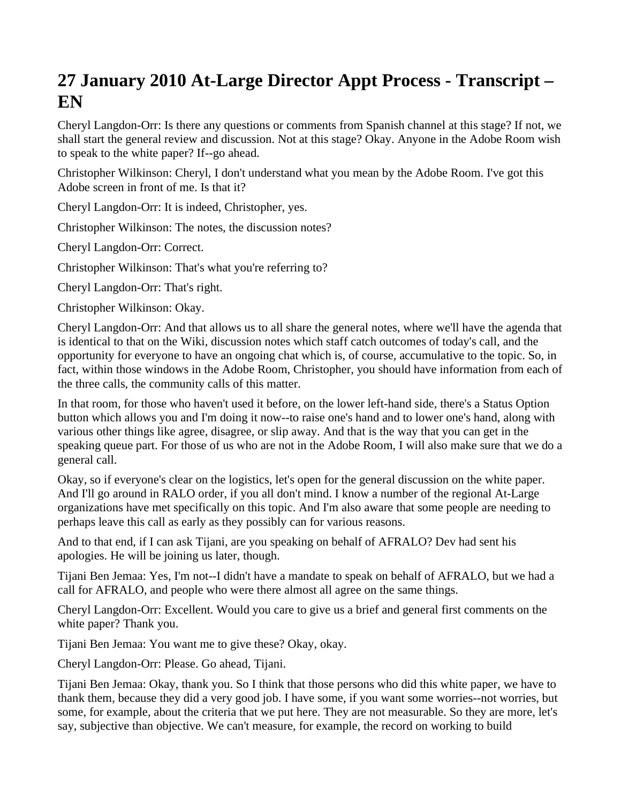## **27 January 2010 At-Large Director Appt Process - Transcript – EN**

Cheryl Langdon-Orr: Is there any questions or comments from Spanish channel at this stage? If not, we shall start the general review and discussion. Not at this stage? Okay. Anyone in the Adobe Room wish to speak to the white paper? If--go ahead.

Christopher Wilkinson: Cheryl, I don't understand what you mean by the Adobe Room. I've got this Adobe screen in front of me. Is that it?

Cheryl Langdon-Orr: It is indeed, Christopher, yes.

Christopher Wilkinson: The notes, the discussion notes?

Cheryl Langdon-Orr: Correct.

Christopher Wilkinson: That's what you're referring to?

Cheryl Langdon-Orr: That's right.

Christopher Wilkinson: Okay.

Cheryl Langdon-Orr: And that allows us to all share the general notes, where we'll have the agenda that is identical to that on the Wiki, discussion notes which staff catch outcomes of today's call, and the opportunity for everyone to have an ongoing chat which is, of course, accumulative to the topic. So, in fact, within those windows in the Adobe Room, Christopher, you should have information from each of the three calls, the community calls of this matter.

In that room, for those who haven't used it before, on the lower left-hand side, there's a Status Option button which allows you and I'm doing it now--to raise one's hand and to lower one's hand, along with various other things like agree, disagree, or slip away. And that is the way that you can get in the speaking queue part. For those of us who are not in the Adobe Room, I will also make sure that we do a general call.

Okay, so if everyone's clear on the logistics, let's open for the general discussion on the white paper. And I'll go around in RALO order, if you all don't mind. I know a number of the regional At-Large organizations have met specifically on this topic. And I'm also aware that some people are needing to perhaps leave this call as early as they possibly can for various reasons.

And to that end, if I can ask Tijani, are you speaking on behalf of AFRALO? Dev had sent his apologies. He will be joining us later, though.

Tijani Ben Jemaa: Yes, I'm not--I didn't have a mandate to speak on behalf of AFRALO, but we had a call for AFRALO, and people who were there almost all agree on the same things.

Cheryl Langdon-Orr: Excellent. Would you care to give us a brief and general first comments on the white paper? Thank you.

Tijani Ben Jemaa: You want me to give these? Okay, okay.

Cheryl Langdon-Orr: Please. Go ahead, Tijani.

Tijani Ben Jemaa: Okay, thank you. So I think that those persons who did this white paper, we have to thank them, because they did a very good job. I have some, if you want some worries--not worries, but some, for example, about the criteria that we put here. They are not measurable. So they are more, let's say, subjective than objective. We can't measure, for example, the record on working to build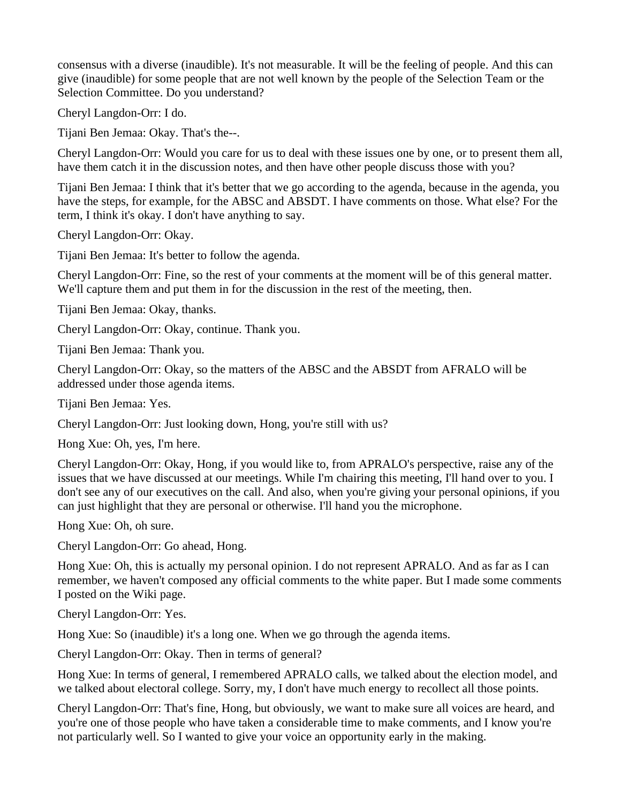consensus with a diverse (inaudible). It's not measurable. It will be the feeling of people. And this can give (inaudible) for some people that are not well known by the people of the Selection Team or the Selection Committee. Do you understand?

Cheryl Langdon-Orr: I do.

Tijani Ben Jemaa: Okay. That's the--.

Cheryl Langdon-Orr: Would you care for us to deal with these issues one by one, or to present them all, have them catch it in the discussion notes, and then have other people discuss those with you?

Tijani Ben Jemaa: I think that it's better that we go according to the agenda, because in the agenda, you have the steps, for example, for the ABSC and ABSDT. I have comments on those. What else? For the term, I think it's okay. I don't have anything to say.

Cheryl Langdon-Orr: Okay.

Tijani Ben Jemaa: It's better to follow the agenda.

Cheryl Langdon-Orr: Fine, so the rest of your comments at the moment will be of this general matter. We'll capture them and put them in for the discussion in the rest of the meeting, then.

Tijani Ben Jemaa: Okay, thanks.

Cheryl Langdon-Orr: Okay, continue. Thank you.

Tijani Ben Jemaa: Thank you.

Cheryl Langdon-Orr: Okay, so the matters of the ABSC and the ABSDT from AFRALO will be addressed under those agenda items.

Tijani Ben Jemaa: Yes.

Cheryl Langdon-Orr: Just looking down, Hong, you're still with us?

Hong Xue: Oh, yes, I'm here.

Cheryl Langdon-Orr: Okay, Hong, if you would like to, from APRALO's perspective, raise any of the issues that we have discussed at our meetings. While I'm chairing this meeting, I'll hand over to you. I don't see any of our executives on the call. And also, when you're giving your personal opinions, if you can just highlight that they are personal or otherwise. I'll hand you the microphone.

Hong Xue: Oh, oh sure.

Cheryl Langdon-Orr: Go ahead, Hong.

Hong Xue: Oh, this is actually my personal opinion. I do not represent APRALO. And as far as I can remember, we haven't composed any official comments to the white paper. But I made some comments I posted on the Wiki page.

Cheryl Langdon-Orr: Yes.

Hong Xue: So (inaudible) it's a long one. When we go through the agenda items.

Cheryl Langdon-Orr: Okay. Then in terms of general?

Hong Xue: In terms of general, I remembered APRALO calls, we talked about the election model, and we talked about electoral college. Sorry, my, I don't have much energy to recollect all those points.

Cheryl Langdon-Orr: That's fine, Hong, but obviously, we want to make sure all voices are heard, and you're one of those people who have taken a considerable time to make comments, and I know you're not particularly well. So I wanted to give your voice an opportunity early in the making.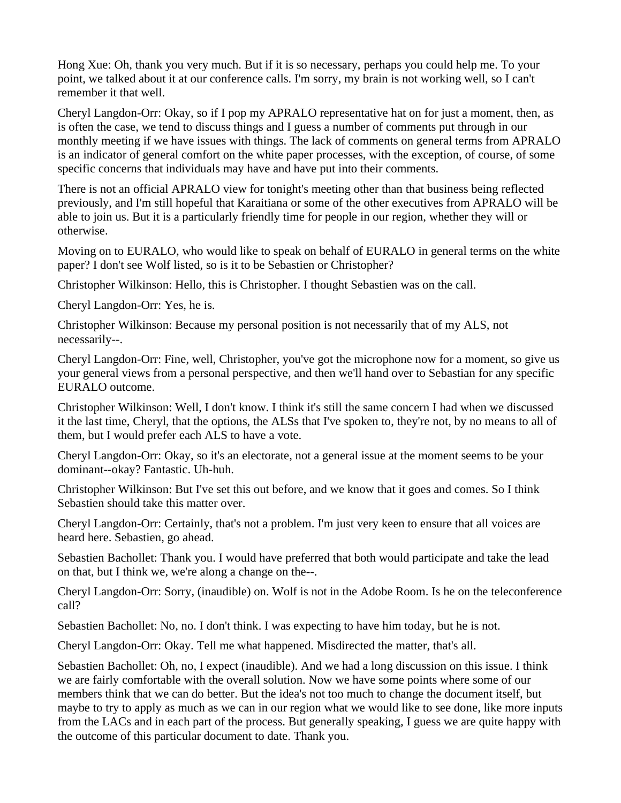Hong Xue: Oh, thank you very much. But if it is so necessary, perhaps you could help me. To your point, we talked about it at our conference calls. I'm sorry, my brain is not working well, so I can't remember it that well.

Cheryl Langdon-Orr: Okay, so if I pop my APRALO representative hat on for just a moment, then, as is often the case, we tend to discuss things and I guess a number of comments put through in our monthly meeting if we have issues with things. The lack of comments on general terms from APRALO is an indicator of general comfort on the white paper processes, with the exception, of course, of some specific concerns that individuals may have and have put into their comments.

There is not an official APRALO view for tonight's meeting other than that business being reflected previously, and I'm still hopeful that Karaitiana or some of the other executives from APRALO will be able to join us. But it is a particularly friendly time for people in our region, whether they will or otherwise.

Moving on to EURALO, who would like to speak on behalf of EURALO in general terms on the white paper? I don't see Wolf listed, so is it to be Sebastien or Christopher?

Christopher Wilkinson: Hello, this is Christopher. I thought Sebastien was on the call.

Cheryl Langdon-Orr: Yes, he is.

Christopher Wilkinson: Because my personal position is not necessarily that of my ALS, not necessarily--.

Cheryl Langdon-Orr: Fine, well, Christopher, you've got the microphone now for a moment, so give us your general views from a personal perspective, and then we'll hand over to Sebastian for any specific EURALO outcome.

Christopher Wilkinson: Well, I don't know. I think it's still the same concern I had when we discussed it the last time, Cheryl, that the options, the ALSs that I've spoken to, they're not, by no means to all of them, but I would prefer each ALS to have a vote.

Cheryl Langdon-Orr: Okay, so it's an electorate, not a general issue at the moment seems to be your dominant--okay? Fantastic. Uh-huh.

Christopher Wilkinson: But I've set this out before, and we know that it goes and comes. So I think Sebastien should take this matter over.

Cheryl Langdon-Orr: Certainly, that's not a problem. I'm just very keen to ensure that all voices are heard here. Sebastien, go ahead.

Sebastien Bachollet: Thank you. I would have preferred that both would participate and take the lead on that, but I think we, we're along a change on the--.

Cheryl Langdon-Orr: Sorry, (inaudible) on. Wolf is not in the Adobe Room. Is he on the teleconference call?

Sebastien Bachollet: No, no. I don't think. I was expecting to have him today, but he is not.

Cheryl Langdon-Orr: Okay. Tell me what happened. Misdirected the matter, that's all.

Sebastien Bachollet: Oh, no, I expect (inaudible). And we had a long discussion on this issue. I think we are fairly comfortable with the overall solution. Now we have some points where some of our members think that we can do better. But the idea's not too much to change the document itself, but maybe to try to apply as much as we can in our region what we would like to see done, like more inputs from the LACs and in each part of the process. But generally speaking, I guess we are quite happy with the outcome of this particular document to date. Thank you.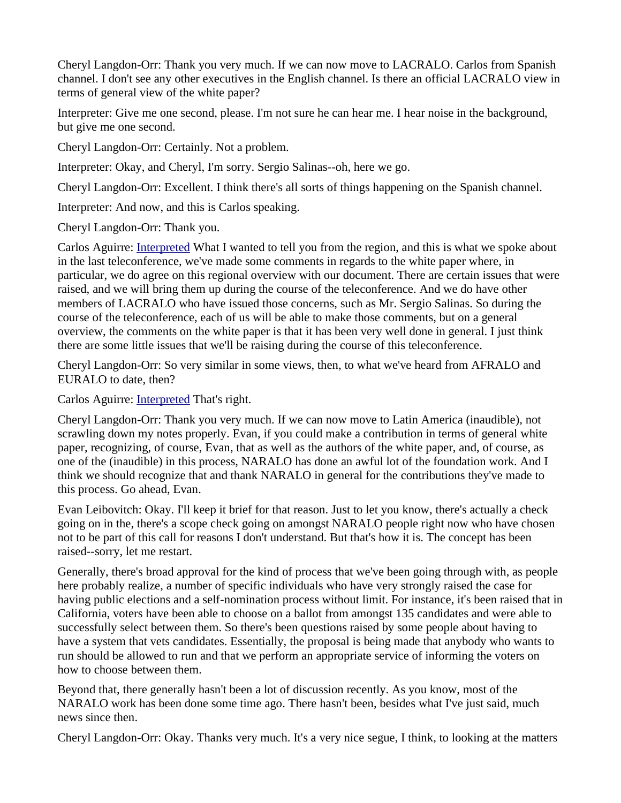Cheryl Langdon-Orr: Thank you very much. If we can now move to LACRALO. Carlos from Spanish channel. I don't see any other executives in the English channel. Is there an official LACRALO view in terms of general view of the white paper?

Interpreter: Give me one second, please. I'm not sure he can hear me. I hear noise in the background, but give me one second.

Cheryl Langdon-Orr: Certainly. Not a problem.

Interpreter: Okay, and Cheryl, I'm sorry. Sergio Salinas--oh, here we go.

Cheryl Langdon-Orr: Excellent. I think there's all sorts of things happening on the Spanish channel.

Interpreter: And now, and this is Carlos speaking.

Cheryl Langdon-Orr: Thank you.

Carlos Aguirre: [Interpreted](https://st.icann.org/alac-docs/index.cgi?action=display;is_incipient=1;page_name=Interpreted) What I wanted to tell you from the region, and this is what we spoke about in the last teleconference, we've made some comments in regards to the white paper where, in particular, we do agree on this regional overview with our document. There are certain issues that were raised, and we will bring them up during the course of the teleconference. And we do have other members of LACRALO who have issued those concerns, such as Mr. Sergio Salinas. So during the course of the teleconference, each of us will be able to make those comments, but on a general overview, the comments on the white paper is that it has been very well done in general. I just think there are some little issues that we'll be raising during the course of this teleconference.

Cheryl Langdon-Orr: So very similar in some views, then, to what we've heard from AFRALO and EURALO to date, then?

Carlos Aguirre: **Interpreted** That's right.

Cheryl Langdon-Orr: Thank you very much. If we can now move to Latin America (inaudible), not scrawling down my notes properly. Evan, if you could make a contribution in terms of general white paper, recognizing, of course, Evan, that as well as the authors of the white paper, and, of course, as one of the (inaudible) in this process, NARALO has done an awful lot of the foundation work. And I think we should recognize that and thank NARALO in general for the contributions they've made to this process. Go ahead, Evan.

Evan Leibovitch: Okay. I'll keep it brief for that reason. Just to let you know, there's actually a check going on in the, there's a scope check going on amongst NARALO people right now who have chosen not to be part of this call for reasons I don't understand. But that's how it is. The concept has been raised--sorry, let me restart.

Generally, there's broad approval for the kind of process that we've been going through with, as people here probably realize, a number of specific individuals who have very strongly raised the case for having public elections and a self-nomination process without limit. For instance, it's been raised that in California, voters have been able to choose on a ballot from amongst 135 candidates and were able to successfully select between them. So there's been questions raised by some people about having to have a system that vets candidates. Essentially, the proposal is being made that anybody who wants to run should be allowed to run and that we perform an appropriate service of informing the voters on how to choose between them.

Beyond that, there generally hasn't been a lot of discussion recently. As you know, most of the NARALO work has been done some time ago. There hasn't been, besides what I've just said, much news since then.

Cheryl Langdon-Orr: Okay. Thanks very much. It's a very nice segue, I think, to looking at the matters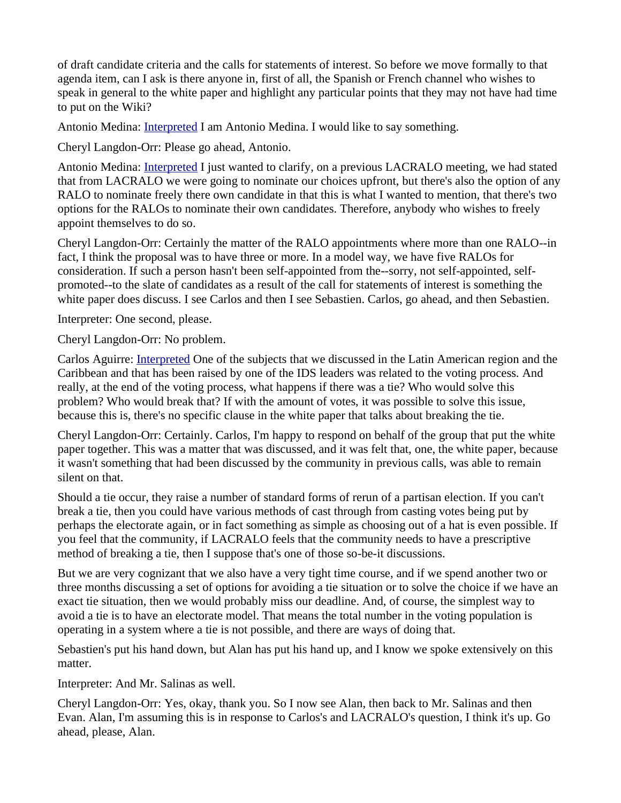of draft candidate criteria and the calls for statements of interest. So before we move formally to that agenda item, can I ask is there anyone in, first of all, the Spanish or French channel who wishes to speak in general to the white paper and highlight any particular points that they may not have had time to put on the Wiki?

Antonio Medina: **Interpreted I am Antonio Medina**. I would like to say something.

Cheryl Langdon-Orr: Please go ahead, Antonio.

Antonio Medina: *Interpreted I just wanted to clarify*, on a previous LACRALO meeting, we had stated that from LACRALO we were going to nominate our choices upfront, but there's also the option of any RALO to nominate freely there own candidate in that this is what I wanted to mention, that there's two options for the RALOs to nominate their own candidates. Therefore, anybody who wishes to freely appoint themselves to do so.

Cheryl Langdon-Orr: Certainly the matter of the RALO appointments where more than one RALO--in fact, I think the proposal was to have three or more. In a model way, we have five RALOs for consideration. If such a person hasn't been self-appointed from the--sorry, not self-appointed, selfpromoted--to the slate of candidates as a result of the call for statements of interest is something the white paper does discuss. I see Carlos and then I see Sebastien. Carlos, go ahead, and then Sebastien.

Interpreter: One second, please.

Cheryl Langdon-Orr: No problem.

Carlos Aguirre: [Interpreted](https://st.icann.org/alac-docs/index.cgi?action=display;is_incipient=1;page_name=Interpreted) One of the subjects that we discussed in the Latin American region and the Caribbean and that has been raised by one of the IDS leaders was related to the voting process. And really, at the end of the voting process, what happens if there was a tie? Who would solve this problem? Who would break that? If with the amount of votes, it was possible to solve this issue, because this is, there's no specific clause in the white paper that talks about breaking the tie.

Cheryl Langdon-Orr: Certainly. Carlos, I'm happy to respond on behalf of the group that put the white paper together. This was a matter that was discussed, and it was felt that, one, the white paper, because it wasn't something that had been discussed by the community in previous calls, was able to remain silent on that.

Should a tie occur, they raise a number of standard forms of rerun of a partisan election. If you can't break a tie, then you could have various methods of cast through from casting votes being put by perhaps the electorate again, or in fact something as simple as choosing out of a hat is even possible. If you feel that the community, if LACRALO feels that the community needs to have a prescriptive method of breaking a tie, then I suppose that's one of those so-be-it discussions.

But we are very cognizant that we also have a very tight time course, and if we spend another two or three months discussing a set of options for avoiding a tie situation or to solve the choice if we have an exact tie situation, then we would probably miss our deadline. And, of course, the simplest way to avoid a tie is to have an electorate model. That means the total number in the voting population is operating in a system where a tie is not possible, and there are ways of doing that.

Sebastien's put his hand down, but Alan has put his hand up, and I know we spoke extensively on this matter.

Interpreter: And Mr. Salinas as well.

Cheryl Langdon-Orr: Yes, okay, thank you. So I now see Alan, then back to Mr. Salinas and then Evan. Alan, I'm assuming this is in response to Carlos's and LACRALO's question, I think it's up. Go ahead, please, Alan.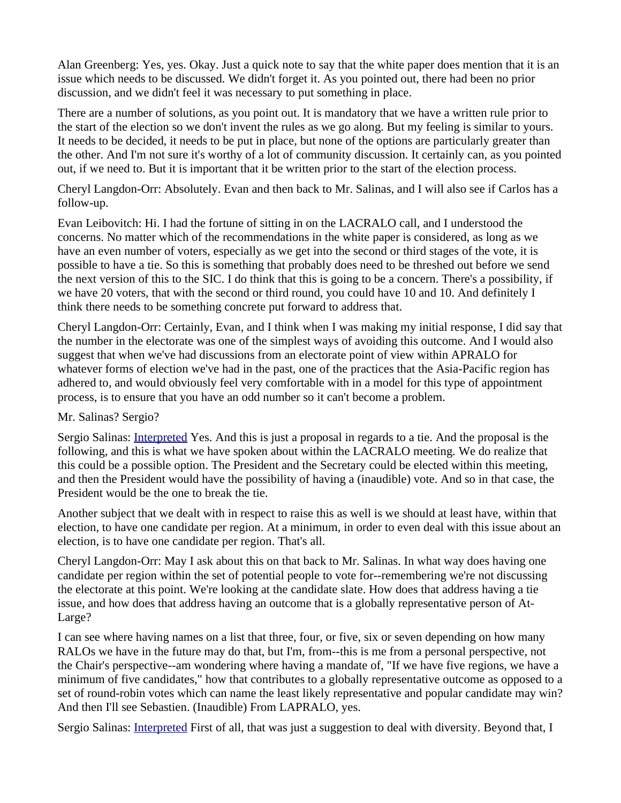Alan Greenberg: Yes, yes. Okay. Just a quick note to say that the white paper does mention that it is an issue which needs to be discussed. We didn't forget it. As you pointed out, there had been no prior discussion, and we didn't feel it was necessary to put something in place.

There are a number of solutions, as you point out. It is mandatory that we have a written rule prior to the start of the election so we don't invent the rules as we go along. But my feeling is similar to yours. It needs to be decided, it needs to be put in place, but none of the options are particularly greater than the other. And I'm not sure it's worthy of a lot of community discussion. It certainly can, as you pointed out, if we need to. But it is important that it be written prior to the start of the election process.

Cheryl Langdon-Orr: Absolutely. Evan and then back to Mr. Salinas, and I will also see if Carlos has a follow-up.

Evan Leibovitch: Hi. I had the fortune of sitting in on the LACRALO call, and I understood the concerns. No matter which of the recommendations in the white paper is considered, as long as we have an even number of voters, especially as we get into the second or third stages of the vote, it is possible to have a tie. So this is something that probably does need to be threshed out before we send the next version of this to the SIC. I do think that this is going to be a concern. There's a possibility, if we have 20 voters, that with the second or third round, you could have 10 and 10. And definitely I think there needs to be something concrete put forward to address that.

Cheryl Langdon-Orr: Certainly, Evan, and I think when I was making my initial response, I did say that the number in the electorate was one of the simplest ways of avoiding this outcome. And I would also suggest that when we've had discussions from an electorate point of view within APRALO for whatever forms of election we've had in the past, one of the practices that the Asia-Pacific region has adhered to, and would obviously feel very comfortable with in a model for this type of appointment process, is to ensure that you have an odd number so it can't become a problem.

## Mr. Salinas? Sergio?

Sergio Salinas: [Interpreted](https://st.icann.org/alac-docs/index.cgi?action=display;is_incipient=1;page_name=Interpreted) Yes. And this is just a proposal in regards to a tie. And the proposal is the following, and this is what we have spoken about within the LACRALO meeting. We do realize that this could be a possible option. The President and the Secretary could be elected within this meeting, and then the President would have the possibility of having a (inaudible) vote. And so in that case, the President would be the one to break the tie.

Another subject that we dealt with in respect to raise this as well is we should at least have, within that election, to have one candidate per region. At a minimum, in order to even deal with this issue about an election, is to have one candidate per region. That's all.

Cheryl Langdon-Orr: May I ask about this on that back to Mr. Salinas. In what way does having one candidate per region within the set of potential people to vote for--remembering we're not discussing the electorate at this point. We're looking at the candidate slate. How does that address having a tie issue, and how does that address having an outcome that is a globally representative person of At-Large?

I can see where having names on a list that three, four, or five, six or seven depending on how many RALOs we have in the future may do that, but I'm, from--this is me from a personal perspective, not the Chair's perspective--am wondering where having a mandate of, "If we have five regions, we have a minimum of five candidates," how that contributes to a globally representative outcome as opposed to a set of round-robin votes which can name the least likely representative and popular candidate may win? And then I'll see Sebastien. (Inaudible) From LAPRALO, yes.

Sergio Salinas: [Interpreted](https://st.icann.org/alac-docs/index.cgi?action=display;is_incipient=1;page_name=Interpreted) First of all, that was just a suggestion to deal with diversity. Beyond that, I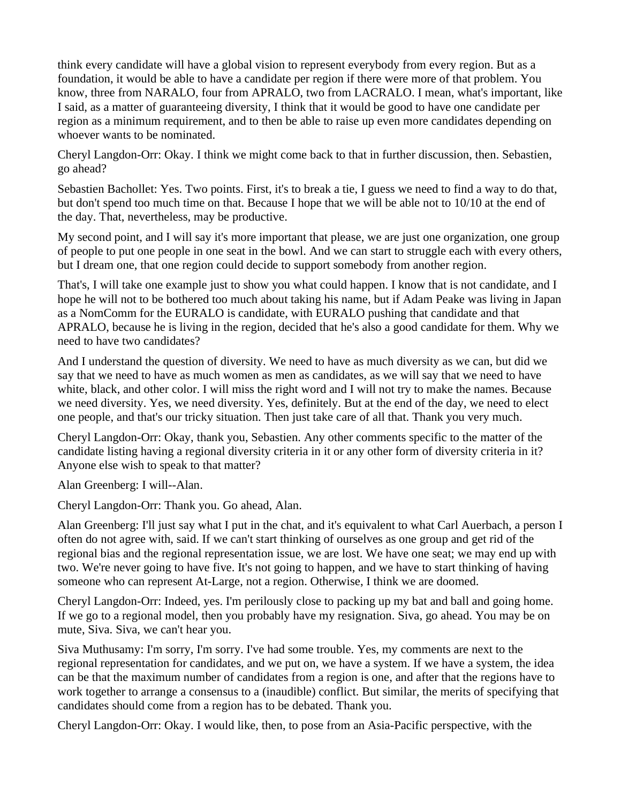think every candidate will have a global vision to represent everybody from every region. But as a foundation, it would be able to have a candidate per region if there were more of that problem. You know, three from NARALO, four from APRALO, two from LACRALO. I mean, what's important, like I said, as a matter of guaranteeing diversity, I think that it would be good to have one candidate per region as a minimum requirement, and to then be able to raise up even more candidates depending on whoever wants to be nominated.

Cheryl Langdon-Orr: Okay. I think we might come back to that in further discussion, then. Sebastien, go ahead?

Sebastien Bachollet: Yes. Two points. First, it's to break a tie, I guess we need to find a way to do that, but don't spend too much time on that. Because I hope that we will be able not to 10/10 at the end of the day. That, nevertheless, may be productive.

My second point, and I will say it's more important that please, we are just one organization, one group of people to put one people in one seat in the bowl. And we can start to struggle each with every others, but I dream one, that one region could decide to support somebody from another region.

That's, I will take one example just to show you what could happen. I know that is not candidate, and I hope he will not to be bothered too much about taking his name, but if Adam Peake was living in Japan as a NomComm for the EURALO is candidate, with EURALO pushing that candidate and that APRALO, because he is living in the region, decided that he's also a good candidate for them. Why we need to have two candidates?

And I understand the question of diversity. We need to have as much diversity as we can, but did we say that we need to have as much women as men as candidates, as we will say that we need to have white, black, and other color. I will miss the right word and I will not try to make the names. Because we need diversity. Yes, we need diversity. Yes, definitely. But at the end of the day, we need to elect one people, and that's our tricky situation. Then just take care of all that. Thank you very much.

Cheryl Langdon-Orr: Okay, thank you, Sebastien. Any other comments specific to the matter of the candidate listing having a regional diversity criteria in it or any other form of diversity criteria in it? Anyone else wish to speak to that matter?

Alan Greenberg: I will--Alan.

Cheryl Langdon-Orr: Thank you. Go ahead, Alan.

Alan Greenberg: I'll just say what I put in the chat, and it's equivalent to what Carl Auerbach, a person I often do not agree with, said. If we can't start thinking of ourselves as one group and get rid of the regional bias and the regional representation issue, we are lost. We have one seat; we may end up with two. We're never going to have five. It's not going to happen, and we have to start thinking of having someone who can represent At-Large, not a region. Otherwise, I think we are doomed.

Cheryl Langdon-Orr: Indeed, yes. I'm perilously close to packing up my bat and ball and going home. If we go to a regional model, then you probably have my resignation. Siva, go ahead. You may be on mute, Siva. Siva, we can't hear you.

Siva Muthusamy: I'm sorry, I'm sorry. I've had some trouble. Yes, my comments are next to the regional representation for candidates, and we put on, we have a system. If we have a system, the idea can be that the maximum number of candidates from a region is one, and after that the regions have to work together to arrange a consensus to a (inaudible) conflict. But similar, the merits of specifying that candidates should come from a region has to be debated. Thank you.

Cheryl Langdon-Orr: Okay. I would like, then, to pose from an Asia-Pacific perspective, with the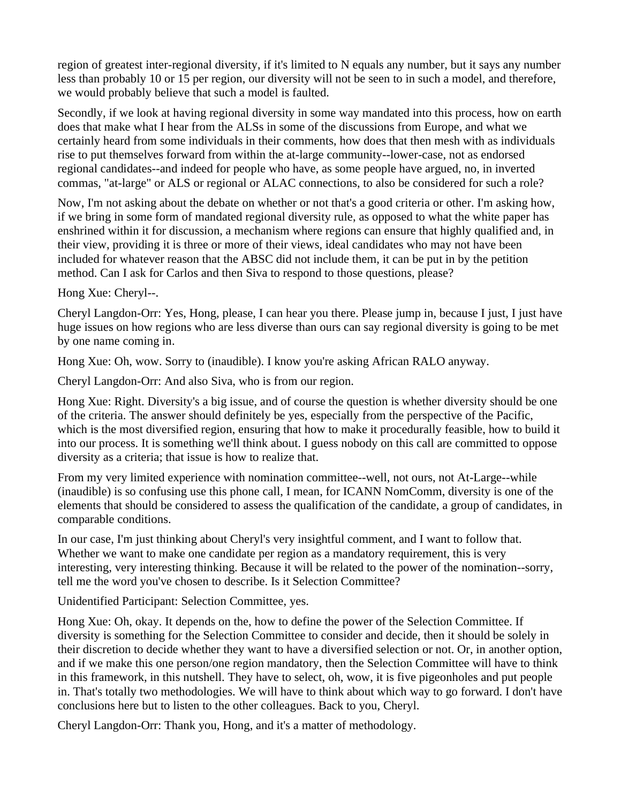region of greatest inter-regional diversity, if it's limited to N equals any number, but it says any number less than probably 10 or 15 per region, our diversity will not be seen to in such a model, and therefore, we would probably believe that such a model is faulted.

Secondly, if we look at having regional diversity in some way mandated into this process, how on earth does that make what I hear from the ALSs in some of the discussions from Europe, and what we certainly heard from some individuals in their comments, how does that then mesh with as individuals rise to put themselves forward from within the at-large community--lower-case, not as endorsed regional candidates--and indeed for people who have, as some people have argued, no, in inverted commas, "at-large" or ALS or regional or ALAC connections, to also be considered for such a role?

Now, I'm not asking about the debate on whether or not that's a good criteria or other. I'm asking how, if we bring in some form of mandated regional diversity rule, as opposed to what the white paper has enshrined within it for discussion, a mechanism where regions can ensure that highly qualified and, in their view, providing it is three or more of their views, ideal candidates who may not have been included for whatever reason that the ABSC did not include them, it can be put in by the petition method. Can I ask for Carlos and then Siva to respond to those questions, please?

Hong Xue: Cheryl--.

Cheryl Langdon-Orr: Yes, Hong, please, I can hear you there. Please jump in, because I just, I just have huge issues on how regions who are less diverse than ours can say regional diversity is going to be met by one name coming in.

Hong Xue: Oh, wow. Sorry to (inaudible). I know you're asking African RALO anyway.

Cheryl Langdon-Orr: And also Siva, who is from our region.

Hong Xue: Right. Diversity's a big issue, and of course the question is whether diversity should be one of the criteria. The answer should definitely be yes, especially from the perspective of the Pacific, which is the most diversified region, ensuring that how to make it procedurally feasible, how to build it into our process. It is something we'll think about. I guess nobody on this call are committed to oppose diversity as a criteria; that issue is how to realize that.

From my very limited experience with nomination committee--well, not ours, not At-Large--while (inaudible) is so confusing use this phone call, I mean, for ICANN NomComm, diversity is one of the elements that should be considered to assess the qualification of the candidate, a group of candidates, in comparable conditions.

In our case, I'm just thinking about Cheryl's very insightful comment, and I want to follow that. Whether we want to make one candidate per region as a mandatory requirement, this is very interesting, very interesting thinking. Because it will be related to the power of the nomination--sorry, tell me the word you've chosen to describe. Is it Selection Committee?

Unidentified Participant: Selection Committee, yes.

Hong Xue: Oh, okay. It depends on the, how to define the power of the Selection Committee. If diversity is something for the Selection Committee to consider and decide, then it should be solely in their discretion to decide whether they want to have a diversified selection or not. Or, in another option, and if we make this one person/one region mandatory, then the Selection Committee will have to think in this framework, in this nutshell. They have to select, oh, wow, it is five pigeonholes and put people in. That's totally two methodologies. We will have to think about which way to go forward. I don't have conclusions here but to listen to the other colleagues. Back to you, Cheryl.

Cheryl Langdon-Orr: Thank you, Hong, and it's a matter of methodology.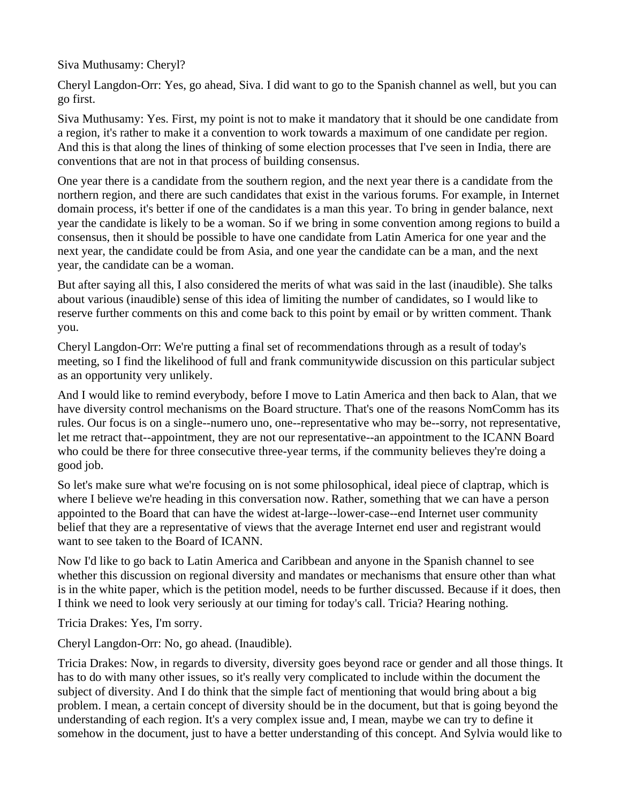Siva Muthusamy: Cheryl?

Cheryl Langdon-Orr: Yes, go ahead, Siva. I did want to go to the Spanish channel as well, but you can go first.

Siva Muthusamy: Yes. First, my point is not to make it mandatory that it should be one candidate from a region, it's rather to make it a convention to work towards a maximum of one candidate per region. And this is that along the lines of thinking of some election processes that I've seen in India, there are conventions that are not in that process of building consensus.

One year there is a candidate from the southern region, and the next year there is a candidate from the northern region, and there are such candidates that exist in the various forums. For example, in Internet domain process, it's better if one of the candidates is a man this year. To bring in gender balance, next year the candidate is likely to be a woman. So if we bring in some convention among regions to build a consensus, then it should be possible to have one candidate from Latin America for one year and the next year, the candidate could be from Asia, and one year the candidate can be a man, and the next year, the candidate can be a woman.

But after saying all this, I also considered the merits of what was said in the last (inaudible). She talks about various (inaudible) sense of this idea of limiting the number of candidates, so I would like to reserve further comments on this and come back to this point by email or by written comment. Thank you.

Cheryl Langdon-Orr: We're putting a final set of recommendations through as a result of today's meeting, so I find the likelihood of full and frank communitywide discussion on this particular subject as an opportunity very unlikely.

And I would like to remind everybody, before I move to Latin America and then back to Alan, that we have diversity control mechanisms on the Board structure. That's one of the reasons NomComm has its rules. Our focus is on a single--numero uno, one--representative who may be--sorry, not representative, let me retract that--appointment, they are not our representative--an appointment to the ICANN Board who could be there for three consecutive three-year terms, if the community believes they're doing a good job.

So let's make sure what we're focusing on is not some philosophical, ideal piece of claptrap, which is where I believe we're heading in this conversation now. Rather, something that we can have a person appointed to the Board that can have the widest at-large--lower-case--end Internet user community belief that they are a representative of views that the average Internet end user and registrant would want to see taken to the Board of ICANN.

Now I'd like to go back to Latin America and Caribbean and anyone in the Spanish channel to see whether this discussion on regional diversity and mandates or mechanisms that ensure other than what is in the white paper, which is the petition model, needs to be further discussed. Because if it does, then I think we need to look very seriously at our timing for today's call. Tricia? Hearing nothing.

Tricia Drakes: Yes, I'm sorry.

Cheryl Langdon-Orr: No, go ahead. (Inaudible).

Tricia Drakes: Now, in regards to diversity, diversity goes beyond race or gender and all those things. It has to do with many other issues, so it's really very complicated to include within the document the subject of diversity. And I do think that the simple fact of mentioning that would bring about a big problem. I mean, a certain concept of diversity should be in the document, but that is going beyond the understanding of each region. It's a very complex issue and, I mean, maybe we can try to define it somehow in the document, just to have a better understanding of this concept. And Sylvia would like to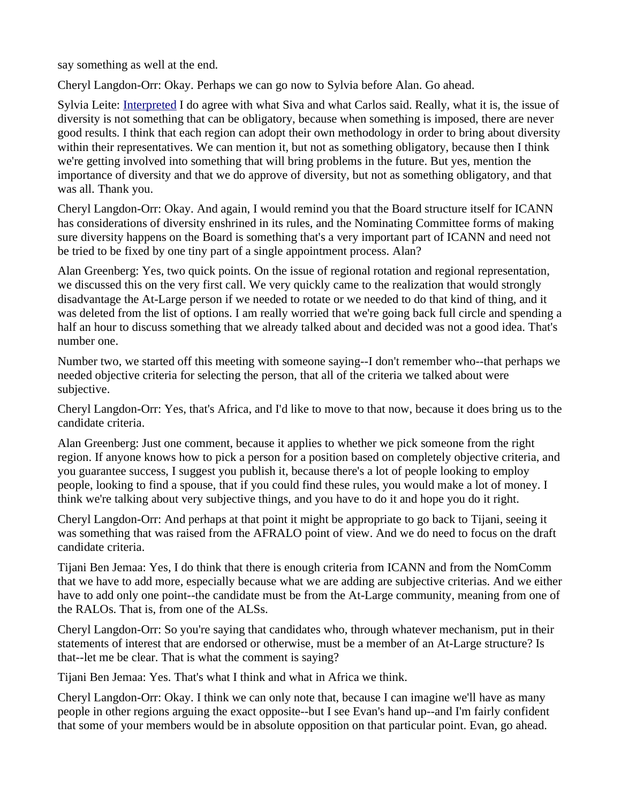say something as well at the end.

Cheryl Langdon-Orr: Okay. Perhaps we can go now to Sylvia before Alan. Go ahead.

Sylvia Leite: [Interpreted](https://st.icann.org/alac-docs/index.cgi?action=display;is_incipient=1;page_name=Interpreted) I do agree with what Siva and what Carlos said. Really, what it is, the issue of diversity is not something that can be obligatory, because when something is imposed, there are never good results. I think that each region can adopt their own methodology in order to bring about diversity within their representatives. We can mention it, but not as something obligatory, because then I think we're getting involved into something that will bring problems in the future. But yes, mention the importance of diversity and that we do approve of diversity, but not as something obligatory, and that was all. Thank you.

Cheryl Langdon-Orr: Okay. And again, I would remind you that the Board structure itself for ICANN has considerations of diversity enshrined in its rules, and the Nominating Committee forms of making sure diversity happens on the Board is something that's a very important part of ICANN and need not be tried to be fixed by one tiny part of a single appointment process. Alan?

Alan Greenberg: Yes, two quick points. On the issue of regional rotation and regional representation, we discussed this on the very first call. We very quickly came to the realization that would strongly disadvantage the At-Large person if we needed to rotate or we needed to do that kind of thing, and it was deleted from the list of options. I am really worried that we're going back full circle and spending a half an hour to discuss something that we already talked about and decided was not a good idea. That's number one.

Number two, we started off this meeting with someone saying--I don't remember who--that perhaps we needed objective criteria for selecting the person, that all of the criteria we talked about were subjective.

Cheryl Langdon-Orr: Yes, that's Africa, and I'd like to move to that now, because it does bring us to the candidate criteria.

Alan Greenberg: Just one comment, because it applies to whether we pick someone from the right region. If anyone knows how to pick a person for a position based on completely objective criteria, and you guarantee success, I suggest you publish it, because there's a lot of people looking to employ people, looking to find a spouse, that if you could find these rules, you would make a lot of money. I think we're talking about very subjective things, and you have to do it and hope you do it right.

Cheryl Langdon-Orr: And perhaps at that point it might be appropriate to go back to Tijani, seeing it was something that was raised from the AFRALO point of view. And we do need to focus on the draft candidate criteria.

Tijani Ben Jemaa: Yes, I do think that there is enough criteria from ICANN and from the NomComm that we have to add more, especially because what we are adding are subjective criterias. And we either have to add only one point--the candidate must be from the At-Large community, meaning from one of the RALOs. That is, from one of the ALSs.

Cheryl Langdon-Orr: So you're saying that candidates who, through whatever mechanism, put in their statements of interest that are endorsed or otherwise, must be a member of an At-Large structure? Is that--let me be clear. That is what the comment is saying?

Tijani Ben Jemaa: Yes. That's what I think and what in Africa we think.

Cheryl Langdon-Orr: Okay. I think we can only note that, because I can imagine we'll have as many people in other regions arguing the exact opposite--but I see Evan's hand up--and I'm fairly confident that some of your members would be in absolute opposition on that particular point. Evan, go ahead.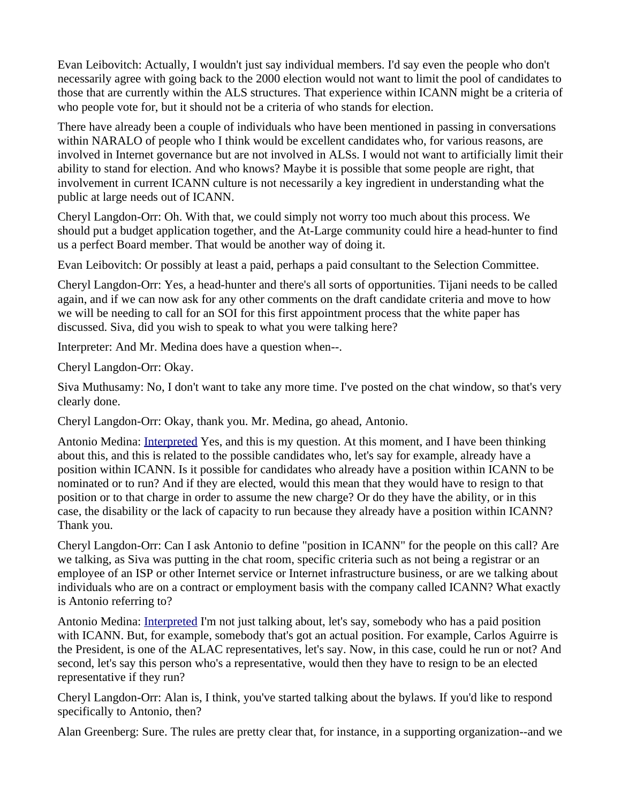Evan Leibovitch: Actually, I wouldn't just say individual members. I'd say even the people who don't necessarily agree with going back to the 2000 election would not want to limit the pool of candidates to those that are currently within the ALS structures. That experience within ICANN might be a criteria of who people vote for, but it should not be a criteria of who stands for election.

There have already been a couple of individuals who have been mentioned in passing in conversations within NARALO of people who I think would be excellent candidates who, for various reasons, are involved in Internet governance but are not involved in ALSs. I would not want to artificially limit their ability to stand for election. And who knows? Maybe it is possible that some people are right, that involvement in current ICANN culture is not necessarily a key ingredient in understanding what the public at large needs out of ICANN.

Cheryl Langdon-Orr: Oh. With that, we could simply not worry too much about this process. We should put a budget application together, and the At-Large community could hire a head-hunter to find us a perfect Board member. That would be another way of doing it.

Evan Leibovitch: Or possibly at least a paid, perhaps a paid consultant to the Selection Committee.

Cheryl Langdon-Orr: Yes, a head-hunter and there's all sorts of opportunities. Tijani needs to be called again, and if we can now ask for any other comments on the draft candidate criteria and move to how we will be needing to call for an SOI for this first appointment process that the white paper has discussed. Siva, did you wish to speak to what you were talking here?

Interpreter: And Mr. Medina does have a question when--.

Cheryl Langdon-Orr: Okay.

Siva Muthusamy: No, I don't want to take any more time. I've posted on the chat window, so that's very clearly done.

Cheryl Langdon-Orr: Okay, thank you. Mr. Medina, go ahead, Antonio.

Antonio Medina: [Interpreted](https://st.icann.org/alac-docs/index.cgi?action=display;is_incipient=1;page_name=Interpreted) Yes, and this is my question. At this moment, and I have been thinking about this, and this is related to the possible candidates who, let's say for example, already have a position within ICANN. Is it possible for candidates who already have a position within ICANN to be nominated or to run? And if they are elected, would this mean that they would have to resign to that position or to that charge in order to assume the new charge? Or do they have the ability, or in this case, the disability or the lack of capacity to run because they already have a position within ICANN? Thank you.

Cheryl Langdon-Orr: Can I ask Antonio to define "position in ICANN" for the people on this call? Are we talking, as Siva was putting in the chat room, specific criteria such as not being a registrar or an employee of an ISP or other Internet service or Internet infrastructure business, or are we talking about individuals who are on a contract or employment basis with the company called ICANN? What exactly is Antonio referring to?

Antonio Medina: [Interpreted](https://st.icann.org/alac-docs/index.cgi?action=display;is_incipient=1;page_name=Interpreted) I'm not just talking about, let's say, somebody who has a paid position with ICANN. But, for example, somebody that's got an actual position. For example, Carlos Aguirre is the President, is one of the ALAC representatives, let's say. Now, in this case, could he run or not? And second, let's say this person who's a representative, would then they have to resign to be an elected representative if they run?

Cheryl Langdon-Orr: Alan is, I think, you've started talking about the bylaws. If you'd like to respond specifically to Antonio, then?

Alan Greenberg: Sure. The rules are pretty clear that, for instance, in a supporting organization--and we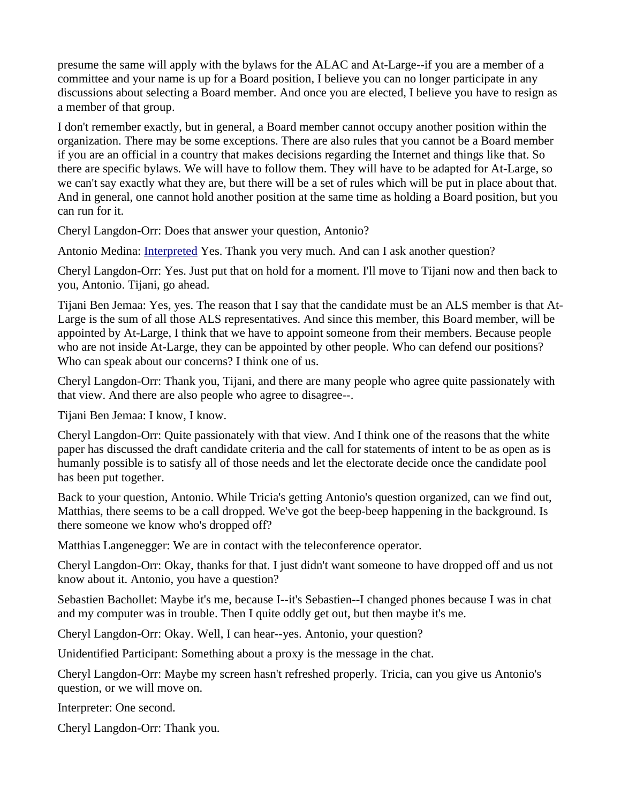presume the same will apply with the bylaws for the ALAC and At-Large--if you are a member of a committee and your name is up for a Board position, I believe you can no longer participate in any discussions about selecting a Board member. And once you are elected, I believe you have to resign as a member of that group.

I don't remember exactly, but in general, a Board member cannot occupy another position within the organization. There may be some exceptions. There are also rules that you cannot be a Board member if you are an official in a country that makes decisions regarding the Internet and things like that. So there are specific bylaws. We will have to follow them. They will have to be adapted for At-Large, so we can't say exactly what they are, but there will be a set of rules which will be put in place about that. And in general, one cannot hold another position at the same time as holding a Board position, but you can run for it.

Cheryl Langdon-Orr: Does that answer your question, Antonio?

Antonio Medina: [Interpreted](https://st.icann.org/alac-docs/index.cgi?action=display;is_incipient=1;page_name=Interpreted) Yes. Thank you very much. And can I ask another question?

Cheryl Langdon-Orr: Yes. Just put that on hold for a moment. I'll move to Tijani now and then back to you, Antonio. Tijani, go ahead.

Tijani Ben Jemaa: Yes, yes. The reason that I say that the candidate must be an ALS member is that At-Large is the sum of all those ALS representatives. And since this member, this Board member, will be appointed by At-Large, I think that we have to appoint someone from their members. Because people who are not inside At-Large, they can be appointed by other people. Who can defend our positions? Who can speak about our concerns? I think one of us.

Cheryl Langdon-Orr: Thank you, Tijani, and there are many people who agree quite passionately with that view. And there are also people who agree to disagree--.

Tijani Ben Jemaa: I know, I know.

Cheryl Langdon-Orr: Quite passionately with that view. And I think one of the reasons that the white paper has discussed the draft candidate criteria and the call for statements of intent to be as open as is humanly possible is to satisfy all of those needs and let the electorate decide once the candidate pool has been put together.

Back to your question, Antonio. While Tricia's getting Antonio's question organized, can we find out, Matthias, there seems to be a call dropped. We've got the beep-beep happening in the background. Is there someone we know who's dropped off?

Matthias Langenegger: We are in contact with the teleconference operator.

Cheryl Langdon-Orr: Okay, thanks for that. I just didn't want someone to have dropped off and us not know about it. Antonio, you have a question?

Sebastien Bachollet: Maybe it's me, because I--it's Sebastien--I changed phones because I was in chat and my computer was in trouble. Then I quite oddly get out, but then maybe it's me.

Cheryl Langdon-Orr: Okay. Well, I can hear--yes. Antonio, your question?

Unidentified Participant: Something about a proxy is the message in the chat.

Cheryl Langdon-Orr: Maybe my screen hasn't refreshed properly. Tricia, can you give us Antonio's question, or we will move on.

Interpreter: One second.

Cheryl Langdon-Orr: Thank you.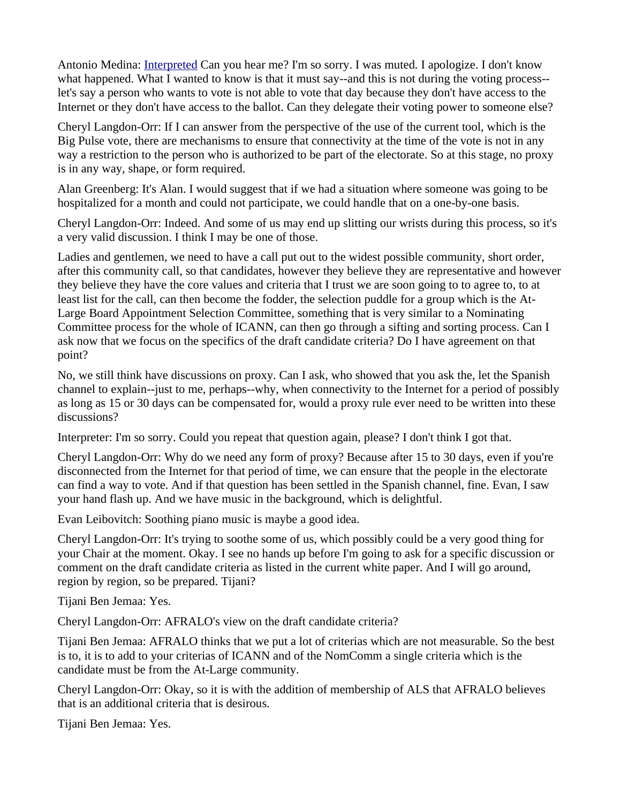Antonio Medina: [Interpreted](https://st.icann.org/alac-docs/index.cgi?action=display;is_incipient=1;page_name=Interpreted) Can you hear me? I'm so sorry. I was muted. I apologize. I don't know what happened. What I wanted to know is that it must say--and this is not during the voting process- let's say a person who wants to vote is not able to vote that day because they don't have access to the Internet or they don't have access to the ballot. Can they delegate their voting power to someone else?

Cheryl Langdon-Orr: If I can answer from the perspective of the use of the current tool, which is the Big Pulse vote, there are mechanisms to ensure that connectivity at the time of the vote is not in any way a restriction to the person who is authorized to be part of the electorate. So at this stage, no proxy is in any way, shape, or form required.

Alan Greenberg: It's Alan. I would suggest that if we had a situation where someone was going to be hospitalized for a month and could not participate, we could handle that on a one-by-one basis.

Cheryl Langdon-Orr: Indeed. And some of us may end up slitting our wrists during this process, so it's a very valid discussion. I think I may be one of those.

Ladies and gentlemen, we need to have a call put out to the widest possible community, short order, after this community call, so that candidates, however they believe they are representative and however they believe they have the core values and criteria that I trust we are soon going to to agree to, to at least list for the call, can then become the fodder, the selection puddle for a group which is the At-Large Board Appointment Selection Committee, something that is very similar to a Nominating Committee process for the whole of ICANN, can then go through a sifting and sorting process. Can I ask now that we focus on the specifics of the draft candidate criteria? Do I have agreement on that point?

No, we still think have discussions on proxy. Can I ask, who showed that you ask the, let the Spanish channel to explain--just to me, perhaps--why, when connectivity to the Internet for a period of possibly as long as 15 or 30 days can be compensated for, would a proxy rule ever need to be written into these discussions?

Interpreter: I'm so sorry. Could you repeat that question again, please? I don't think I got that.

Cheryl Langdon-Orr: Why do we need any form of proxy? Because after 15 to 30 days, even if you're disconnected from the Internet for that period of time, we can ensure that the people in the electorate can find a way to vote. And if that question has been settled in the Spanish channel, fine. Evan, I saw your hand flash up. And we have music in the background, which is delightful.

Evan Leibovitch: Soothing piano music is maybe a good idea.

Cheryl Langdon-Orr: It's trying to soothe some of us, which possibly could be a very good thing for your Chair at the moment. Okay. I see no hands up before I'm going to ask for a specific discussion or comment on the draft candidate criteria as listed in the current white paper. And I will go around, region by region, so be prepared. Tijani?

Tijani Ben Jemaa: Yes.

Cheryl Langdon-Orr: AFRALO's view on the draft candidate criteria?

Tijani Ben Jemaa: AFRALO thinks that we put a lot of criterias which are not measurable. So the best is to, it is to add to your criterias of ICANN and of the NomComm a single criteria which is the candidate must be from the At-Large community.

Cheryl Langdon-Orr: Okay, so it is with the addition of membership of ALS that AFRALO believes that is an additional criteria that is desirous.

Tijani Ben Jemaa: Yes.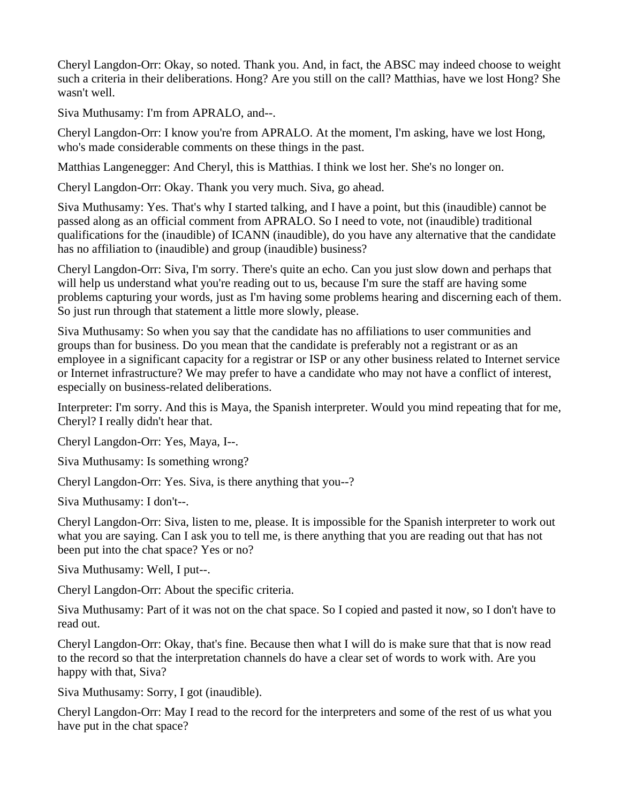Cheryl Langdon-Orr: Okay, so noted. Thank you. And, in fact, the ABSC may indeed choose to weight such a criteria in their deliberations. Hong? Are you still on the call? Matthias, have we lost Hong? She wasn't well.

Siva Muthusamy: I'm from APRALO, and--.

Cheryl Langdon-Orr: I know you're from APRALO. At the moment, I'm asking, have we lost Hong, who's made considerable comments on these things in the past.

Matthias Langenegger: And Cheryl, this is Matthias. I think we lost her. She's no longer on.

Cheryl Langdon-Orr: Okay. Thank you very much. Siva, go ahead.

Siva Muthusamy: Yes. That's why I started talking, and I have a point, but this (inaudible) cannot be passed along as an official comment from APRALO. So I need to vote, not (inaudible) traditional qualifications for the (inaudible) of ICANN (inaudible), do you have any alternative that the candidate has no affiliation to (inaudible) and group (inaudible) business?

Cheryl Langdon-Orr: Siva, I'm sorry. There's quite an echo. Can you just slow down and perhaps that will help us understand what you're reading out to us, because I'm sure the staff are having some problems capturing your words, just as I'm having some problems hearing and discerning each of them. So just run through that statement a little more slowly, please.

Siva Muthusamy: So when you say that the candidate has no affiliations to user communities and groups than for business. Do you mean that the candidate is preferably not a registrant or as an employee in a significant capacity for a registrar or ISP or any other business related to Internet service or Internet infrastructure? We may prefer to have a candidate who may not have a conflict of interest, especially on business-related deliberations.

Interpreter: I'm sorry. And this is Maya, the Spanish interpreter. Would you mind repeating that for me, Cheryl? I really didn't hear that.

Cheryl Langdon-Orr: Yes, Maya, I--.

Siva Muthusamy: Is something wrong?

Cheryl Langdon-Orr: Yes. Siva, is there anything that you--?

Siva Muthusamy: I don't--.

Cheryl Langdon-Orr: Siva, listen to me, please. It is impossible for the Spanish interpreter to work out what you are saying. Can I ask you to tell me, is there anything that you are reading out that has not been put into the chat space? Yes or no?

Siva Muthusamy: Well, I put--.

Cheryl Langdon-Orr: About the specific criteria.

Siva Muthusamy: Part of it was not on the chat space. So I copied and pasted it now, so I don't have to read out.

Cheryl Langdon-Orr: Okay, that's fine. Because then what I will do is make sure that that is now read to the record so that the interpretation channels do have a clear set of words to work with. Are you happy with that, Siva?

Siva Muthusamy: Sorry, I got (inaudible).

Cheryl Langdon-Orr: May I read to the record for the interpreters and some of the rest of us what you have put in the chat space?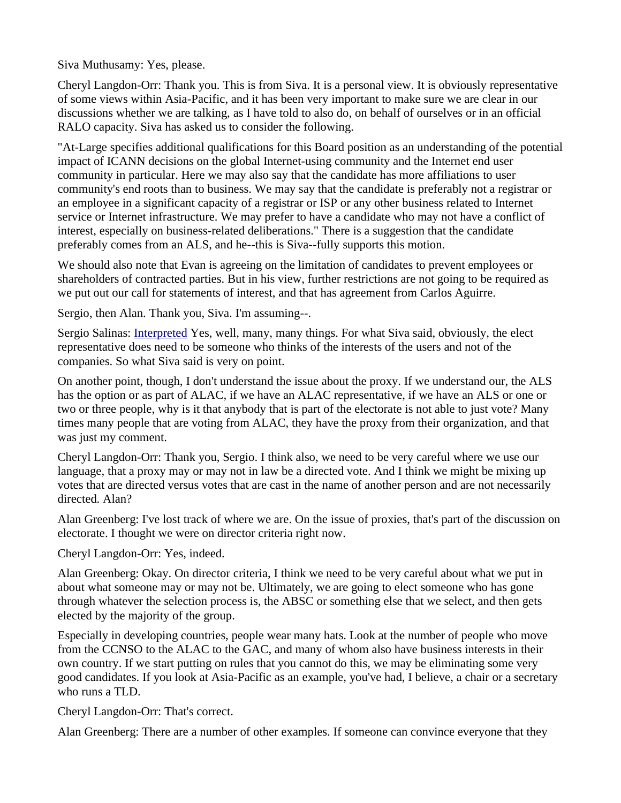Siva Muthusamy: Yes, please.

Cheryl Langdon-Orr: Thank you. This is from Siva. It is a personal view. It is obviously representative of some views within Asia-Pacific, and it has been very important to make sure we are clear in our discussions whether we are talking, as I have told to also do, on behalf of ourselves or in an official RALO capacity. Siva has asked us to consider the following.

"At-Large specifies additional qualifications for this Board position as an understanding of the potential impact of ICANN decisions on the global Internet-using community and the Internet end user community in particular. Here we may also say that the candidate has more affiliations to user community's end roots than to business. We may say that the candidate is preferably not a registrar or an employee in a significant capacity of a registrar or ISP or any other business related to Internet service or Internet infrastructure. We may prefer to have a candidate who may not have a conflict of interest, especially on business-related deliberations." There is a suggestion that the candidate preferably comes from an ALS, and he--this is Siva--fully supports this motion.

We should also note that Evan is agreeing on the limitation of candidates to prevent employees or shareholders of contracted parties. But in his view, further restrictions are not going to be required as we put out our call for statements of interest, and that has agreement from Carlos Aguirre.

Sergio, then Alan. Thank you, Siva. I'm assuming--.

Sergio Salinas: [Interpreted](https://st.icann.org/alac-docs/index.cgi?action=display;is_incipient=1;page_name=Interpreted) Yes, well, many, many things. For what Siva said, obviously, the elect representative does need to be someone who thinks of the interests of the users and not of the companies. So what Siva said is very on point.

On another point, though, I don't understand the issue about the proxy. If we understand our, the ALS has the option or as part of ALAC, if we have an ALAC representative, if we have an ALS or one or two or three people, why is it that anybody that is part of the electorate is not able to just vote? Many times many people that are voting from ALAC, they have the proxy from their organization, and that was just my comment.

Cheryl Langdon-Orr: Thank you, Sergio. I think also, we need to be very careful where we use our language, that a proxy may or may not in law be a directed vote. And I think we might be mixing up votes that are directed versus votes that are cast in the name of another person and are not necessarily directed. Alan?

Alan Greenberg: I've lost track of where we are. On the issue of proxies, that's part of the discussion on electorate. I thought we were on director criteria right now.

Cheryl Langdon-Orr: Yes, indeed.

Alan Greenberg: Okay. On director criteria, I think we need to be very careful about what we put in about what someone may or may not be. Ultimately, we are going to elect someone who has gone through whatever the selection process is, the ABSC or something else that we select, and then gets elected by the majority of the group.

Especially in developing countries, people wear many hats. Look at the number of people who move from the CCNSO to the ALAC to the GAC, and many of whom also have business interests in their own country. If we start putting on rules that you cannot do this, we may be eliminating some very good candidates. If you look at Asia-Pacific as an example, you've had, I believe, a chair or a secretary who runs a TLD.

Cheryl Langdon-Orr: That's correct.

Alan Greenberg: There are a number of other examples. If someone can convince everyone that they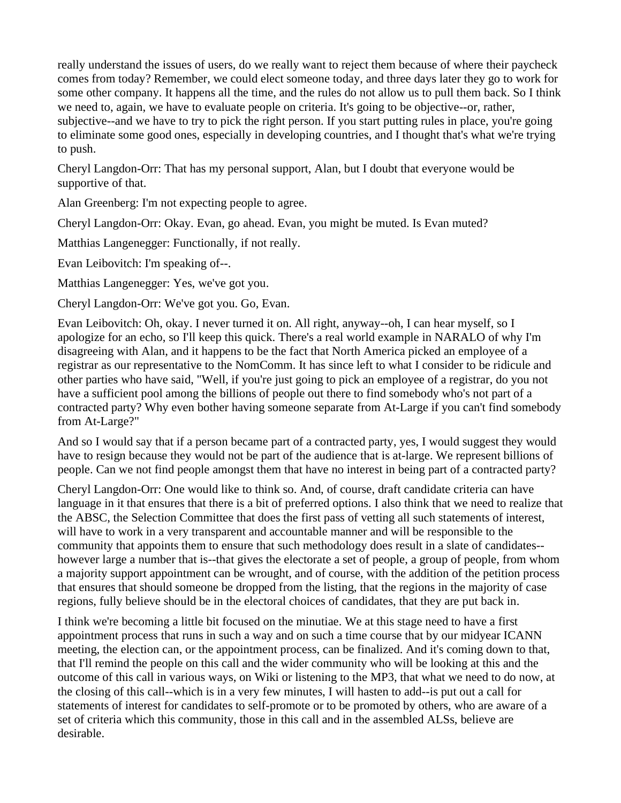really understand the issues of users, do we really want to reject them because of where their paycheck comes from today? Remember, we could elect someone today, and three days later they go to work for some other company. It happens all the time, and the rules do not allow us to pull them back. So I think we need to, again, we have to evaluate people on criteria. It's going to be objective--or, rather, subjective--and we have to try to pick the right person. If you start putting rules in place, you're going to eliminate some good ones, especially in developing countries, and I thought that's what we're trying to push.

Cheryl Langdon-Orr: That has my personal support, Alan, but I doubt that everyone would be supportive of that.

Alan Greenberg: I'm not expecting people to agree.

Cheryl Langdon-Orr: Okay. Evan, go ahead. Evan, you might be muted. Is Evan muted?

Matthias Langenegger: Functionally, if not really.

Evan Leibovitch: I'm speaking of--.

Matthias Langenegger: Yes, we've got you.

Cheryl Langdon-Orr: We've got you. Go, Evan.

Evan Leibovitch: Oh, okay. I never turned it on. All right, anyway--oh, I can hear myself, so I apologize for an echo, so I'll keep this quick. There's a real world example in NARALO of why I'm disagreeing with Alan, and it happens to be the fact that North America picked an employee of a registrar as our representative to the NomComm. It has since left to what I consider to be ridicule and other parties who have said, "Well, if you're just going to pick an employee of a registrar, do you not have a sufficient pool among the billions of people out there to find somebody who's not part of a contracted party? Why even bother having someone separate from At-Large if you can't find somebody from At-Large?"

And so I would say that if a person became part of a contracted party, yes, I would suggest they would have to resign because they would not be part of the audience that is at-large. We represent billions of people. Can we not find people amongst them that have no interest in being part of a contracted party?

Cheryl Langdon-Orr: One would like to think so. And, of course, draft candidate criteria can have language in it that ensures that there is a bit of preferred options. I also think that we need to realize that the ABSC, the Selection Committee that does the first pass of vetting all such statements of interest, will have to work in a very transparent and accountable manner and will be responsible to the community that appoints them to ensure that such methodology does result in a slate of candidates- however large a number that is--that gives the electorate a set of people, a group of people, from whom a majority support appointment can be wrought, and of course, with the addition of the petition process that ensures that should someone be dropped from the listing, that the regions in the majority of case regions, fully believe should be in the electoral choices of candidates, that they are put back in.

I think we're becoming a little bit focused on the minutiae. We at this stage need to have a first appointment process that runs in such a way and on such a time course that by our midyear ICANN meeting, the election can, or the appointment process, can be finalized. And it's coming down to that, that I'll remind the people on this call and the wider community who will be looking at this and the outcome of this call in various ways, on Wiki or listening to the MP3, that what we need to do now, at the closing of this call--which is in a very few minutes, I will hasten to add--is put out a call for statements of interest for candidates to self-promote or to be promoted by others, who are aware of a set of criteria which this community, those in this call and in the assembled ALSs, believe are desirable.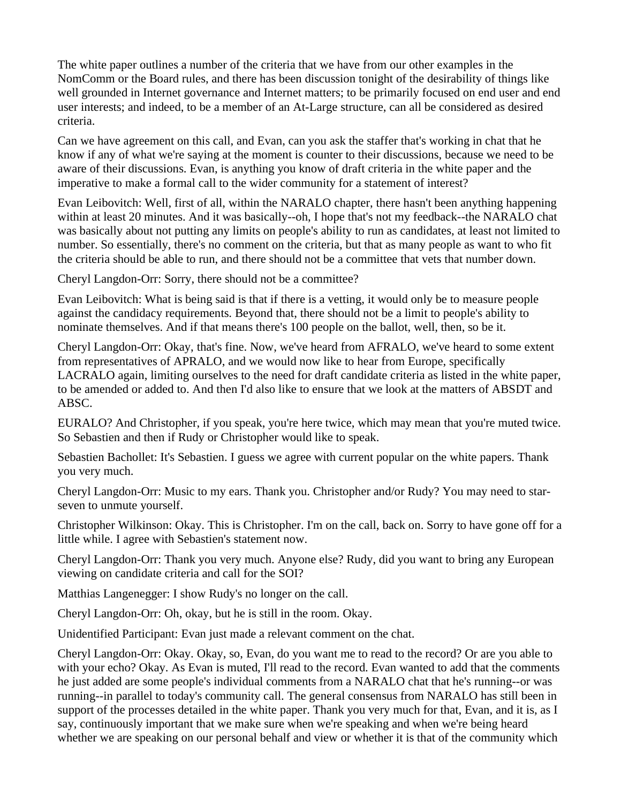The white paper outlines a number of the criteria that we have from our other examples in the NomComm or the Board rules, and there has been discussion tonight of the desirability of things like well grounded in Internet governance and Internet matters; to be primarily focused on end user and end user interests; and indeed, to be a member of an At-Large structure, can all be considered as desired criteria.

Can we have agreement on this call, and Evan, can you ask the staffer that's working in chat that he know if any of what we're saying at the moment is counter to their discussions, because we need to be aware of their discussions. Evan, is anything you know of draft criteria in the white paper and the imperative to make a formal call to the wider community for a statement of interest?

Evan Leibovitch: Well, first of all, within the NARALO chapter, there hasn't been anything happening within at least 20 minutes. And it was basically--oh, I hope that's not my feedback--the NARALO chat was basically about not putting any limits on people's ability to run as candidates, at least not limited to number. So essentially, there's no comment on the criteria, but that as many people as want to who fit the criteria should be able to run, and there should not be a committee that vets that number down.

Cheryl Langdon-Orr: Sorry, there should not be a committee?

Evan Leibovitch: What is being said is that if there is a vetting, it would only be to measure people against the candidacy requirements. Beyond that, there should not be a limit to people's ability to nominate themselves. And if that means there's 100 people on the ballot, well, then, so be it.

Cheryl Langdon-Orr: Okay, that's fine. Now, we've heard from AFRALO, we've heard to some extent from representatives of APRALO, and we would now like to hear from Europe, specifically LACRALO again, limiting ourselves to the need for draft candidate criteria as listed in the white paper, to be amended or added to. And then I'd also like to ensure that we look at the matters of ABSDT and ABSC.

EURALO? And Christopher, if you speak, you're here twice, which may mean that you're muted twice. So Sebastien and then if Rudy or Christopher would like to speak.

Sebastien Bachollet: It's Sebastien. I guess we agree with current popular on the white papers. Thank you very much.

Cheryl Langdon-Orr: Music to my ears. Thank you. Christopher and/or Rudy? You may need to starseven to unmute yourself.

Christopher Wilkinson: Okay. This is Christopher. I'm on the call, back on. Sorry to have gone off for a little while. I agree with Sebastien's statement now.

Cheryl Langdon-Orr: Thank you very much. Anyone else? Rudy, did you want to bring any European viewing on candidate criteria and call for the SOI?

Matthias Langenegger: I show Rudy's no longer on the call.

Cheryl Langdon-Orr: Oh, okay, but he is still in the room. Okay.

Unidentified Participant: Evan just made a relevant comment on the chat.

Cheryl Langdon-Orr: Okay. Okay, so, Evan, do you want me to read to the record? Or are you able to with your echo? Okay. As Evan is muted, I'll read to the record. Evan wanted to add that the comments he just added are some people's individual comments from a NARALO chat that he's running--or was running--in parallel to today's community call. The general consensus from NARALO has still been in support of the processes detailed in the white paper. Thank you very much for that, Evan, and it is, as I say, continuously important that we make sure when we're speaking and when we're being heard whether we are speaking on our personal behalf and view or whether it is that of the community which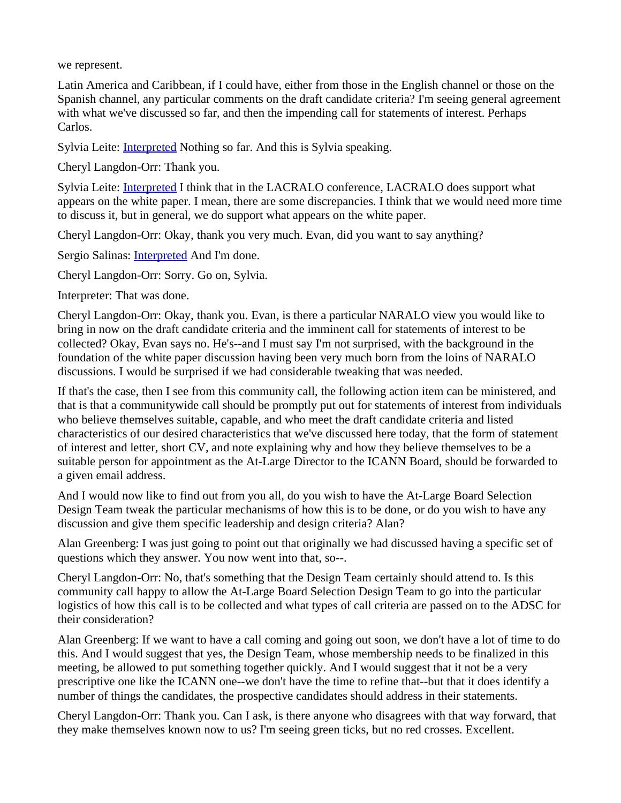we represent.

Latin America and Caribbean, if I could have, either from those in the English channel or those on the Spanish channel, any particular comments on the draft candidate criteria? I'm seeing general agreement with what we've discussed so far, and then the impending call for statements of interest. Perhaps Carlos.

Sylvia Leite: **Interpreted Nothing so far. And this is Sylvia speaking.** 

Cheryl Langdon-Orr: Thank you.

Sylvia Leite: [Interpreted](https://st.icann.org/alac-docs/index.cgi?action=display;is_incipient=1;page_name=Interpreted) I think that in the LACRALO conference, LACRALO does support what appears on the white paper. I mean, there are some discrepancies. I think that we would need more time to discuss it, but in general, we do support what appears on the white paper.

Cheryl Langdon-Orr: Okay, thank you very much. Evan, did you want to say anything?

Sergio Salinas: [Interpreted](https://st.icann.org/alac-docs/index.cgi?action=display;is_incipient=1;page_name=Interpreted) And I'm done.

Cheryl Langdon-Orr: Sorry. Go on, Sylvia.

Interpreter: That was done.

Cheryl Langdon-Orr: Okay, thank you. Evan, is there a particular NARALO view you would like to bring in now on the draft candidate criteria and the imminent call for statements of interest to be collected? Okay, Evan says no. He's--and I must say I'm not surprised, with the background in the foundation of the white paper discussion having been very much born from the loins of NARALO discussions. I would be surprised if we had considerable tweaking that was needed.

If that's the case, then I see from this community call, the following action item can be ministered, and that is that a communitywide call should be promptly put out for statements of interest from individuals who believe themselves suitable, capable, and who meet the draft candidate criteria and listed characteristics of our desired characteristics that we've discussed here today, that the form of statement of interest and letter, short CV, and note explaining why and how they believe themselves to be a suitable person for appointment as the At-Large Director to the ICANN Board, should be forwarded to a given email address.

And I would now like to find out from you all, do you wish to have the At-Large Board Selection Design Team tweak the particular mechanisms of how this is to be done, or do you wish to have any discussion and give them specific leadership and design criteria? Alan?

Alan Greenberg: I was just going to point out that originally we had discussed having a specific set of questions which they answer. You now went into that, so--.

Cheryl Langdon-Orr: No, that's something that the Design Team certainly should attend to. Is this community call happy to allow the At-Large Board Selection Design Team to go into the particular logistics of how this call is to be collected and what types of call criteria are passed on to the ADSC for their consideration?

Alan Greenberg: If we want to have a call coming and going out soon, we don't have a lot of time to do this. And I would suggest that yes, the Design Team, whose membership needs to be finalized in this meeting, be allowed to put something together quickly. And I would suggest that it not be a very prescriptive one like the ICANN one--we don't have the time to refine that--but that it does identify a number of things the candidates, the prospective candidates should address in their statements.

Cheryl Langdon-Orr: Thank you. Can I ask, is there anyone who disagrees with that way forward, that they make themselves known now to us? I'm seeing green ticks, but no red crosses. Excellent.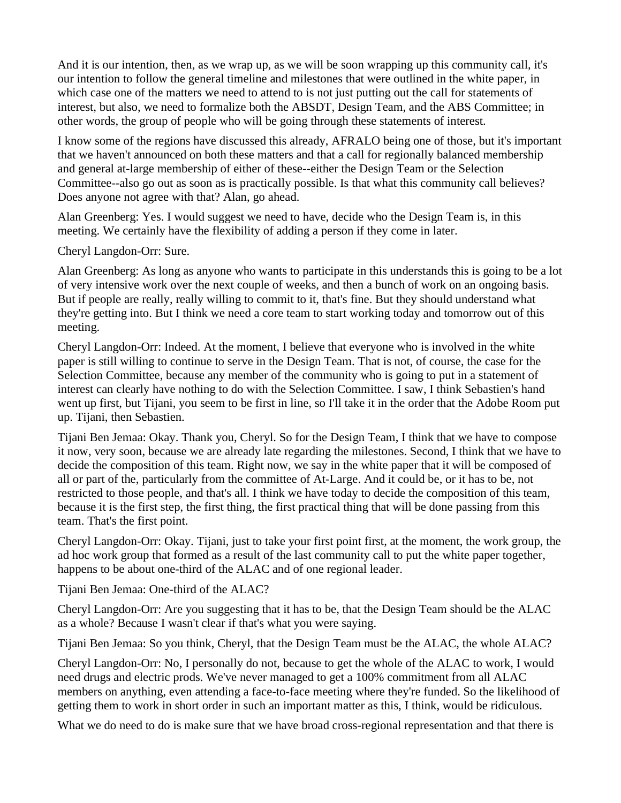And it is our intention, then, as we wrap up, as we will be soon wrapping up this community call, it's our intention to follow the general timeline and milestones that were outlined in the white paper, in which case one of the matters we need to attend to is not just putting out the call for statements of interest, but also, we need to formalize both the ABSDT, Design Team, and the ABS Committee; in other words, the group of people who will be going through these statements of interest.

I know some of the regions have discussed this already, AFRALO being one of those, but it's important that we haven't announced on both these matters and that a call for regionally balanced membership and general at-large membership of either of these--either the Design Team or the Selection Committee--also go out as soon as is practically possible. Is that what this community call believes? Does anyone not agree with that? Alan, go ahead.

Alan Greenberg: Yes. I would suggest we need to have, decide who the Design Team is, in this meeting. We certainly have the flexibility of adding a person if they come in later.

Cheryl Langdon-Orr: Sure.

Alan Greenberg: As long as anyone who wants to participate in this understands this is going to be a lot of very intensive work over the next couple of weeks, and then a bunch of work on an ongoing basis. But if people are really, really willing to commit to it, that's fine. But they should understand what they're getting into. But I think we need a core team to start working today and tomorrow out of this meeting.

Cheryl Langdon-Orr: Indeed. At the moment, I believe that everyone who is involved in the white paper is still willing to continue to serve in the Design Team. That is not, of course, the case for the Selection Committee, because any member of the community who is going to put in a statement of interest can clearly have nothing to do with the Selection Committee. I saw, I think Sebastien's hand went up first, but Tijani, you seem to be first in line, so I'll take it in the order that the Adobe Room put up. Tijani, then Sebastien.

Tijani Ben Jemaa: Okay. Thank you, Cheryl. So for the Design Team, I think that we have to compose it now, very soon, because we are already late regarding the milestones. Second, I think that we have to decide the composition of this team. Right now, we say in the white paper that it will be composed of all or part of the, particularly from the committee of At-Large. And it could be, or it has to be, not restricted to those people, and that's all. I think we have today to decide the composition of this team, because it is the first step, the first thing, the first practical thing that will be done passing from this team. That's the first point.

Cheryl Langdon-Orr: Okay. Tijani, just to take your first point first, at the moment, the work group, the ad hoc work group that formed as a result of the last community call to put the white paper together, happens to be about one-third of the ALAC and of one regional leader.

Tijani Ben Jemaa: One-third of the ALAC?

Cheryl Langdon-Orr: Are you suggesting that it has to be, that the Design Team should be the ALAC as a whole? Because I wasn't clear if that's what you were saying.

Tijani Ben Jemaa: So you think, Cheryl, that the Design Team must be the ALAC, the whole ALAC?

Cheryl Langdon-Orr: No, I personally do not, because to get the whole of the ALAC to work, I would need drugs and electric prods. We've never managed to get a 100% commitment from all ALAC members on anything, even attending a face-to-face meeting where they're funded. So the likelihood of getting them to work in short order in such an important matter as this, I think, would be ridiculous.

What we do need to do is make sure that we have broad cross-regional representation and that there is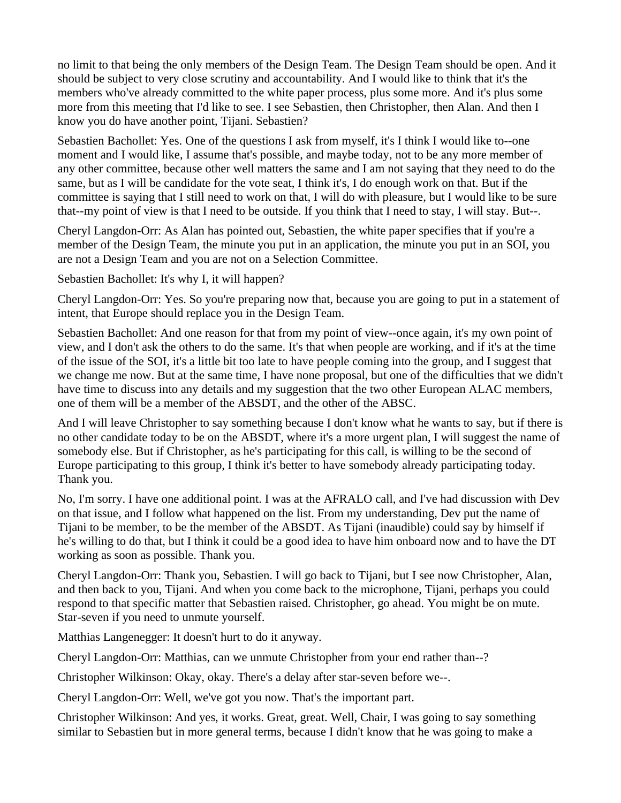no limit to that being the only members of the Design Team. The Design Team should be open. And it should be subject to very close scrutiny and accountability. And I would like to think that it's the members who've already committed to the white paper process, plus some more. And it's plus some more from this meeting that I'd like to see. I see Sebastien, then Christopher, then Alan. And then I know you do have another point, Tijani. Sebastien?

Sebastien Bachollet: Yes. One of the questions I ask from myself, it's I think I would like to--one moment and I would like, I assume that's possible, and maybe today, not to be any more member of any other committee, because other well matters the same and I am not saying that they need to do the same, but as I will be candidate for the vote seat, I think it's, I do enough work on that. But if the committee is saying that I still need to work on that, I will do with pleasure, but I would like to be sure that--my point of view is that I need to be outside. If you think that I need to stay, I will stay. But--.

Cheryl Langdon-Orr: As Alan has pointed out, Sebastien, the white paper specifies that if you're a member of the Design Team, the minute you put in an application, the minute you put in an SOI, you are not a Design Team and you are not on a Selection Committee.

Sebastien Bachollet: It's why I, it will happen?

Cheryl Langdon-Orr: Yes. So you're preparing now that, because you are going to put in a statement of intent, that Europe should replace you in the Design Team.

Sebastien Bachollet: And one reason for that from my point of view--once again, it's my own point of view, and I don't ask the others to do the same. It's that when people are working, and if it's at the time of the issue of the SOI, it's a little bit too late to have people coming into the group, and I suggest that we change me now. But at the same time, I have none proposal, but one of the difficulties that we didn't have time to discuss into any details and my suggestion that the two other European ALAC members, one of them will be a member of the ABSDT, and the other of the ABSC.

And I will leave Christopher to say something because I don't know what he wants to say, but if there is no other candidate today to be on the ABSDT, where it's a more urgent plan, I will suggest the name of somebody else. But if Christopher, as he's participating for this call, is willing to be the second of Europe participating to this group, I think it's better to have somebody already participating today. Thank you.

No, I'm sorry. I have one additional point. I was at the AFRALO call, and I've had discussion with Dev on that issue, and I follow what happened on the list. From my understanding, Dev put the name of Tijani to be member, to be the member of the ABSDT. As Tijani (inaudible) could say by himself if he's willing to do that, but I think it could be a good idea to have him onboard now and to have the DT working as soon as possible. Thank you.

Cheryl Langdon-Orr: Thank you, Sebastien. I will go back to Tijani, but I see now Christopher, Alan, and then back to you, Tijani. And when you come back to the microphone, Tijani, perhaps you could respond to that specific matter that Sebastien raised. Christopher, go ahead. You might be on mute. Star-seven if you need to unmute yourself.

Matthias Langenegger: It doesn't hurt to do it anyway.

Cheryl Langdon-Orr: Matthias, can we unmute Christopher from your end rather than--?

Christopher Wilkinson: Okay, okay. There's a delay after star-seven before we--.

Cheryl Langdon-Orr: Well, we've got you now. That's the important part.

Christopher Wilkinson: And yes, it works. Great, great. Well, Chair, I was going to say something similar to Sebastien but in more general terms, because I didn't know that he was going to make a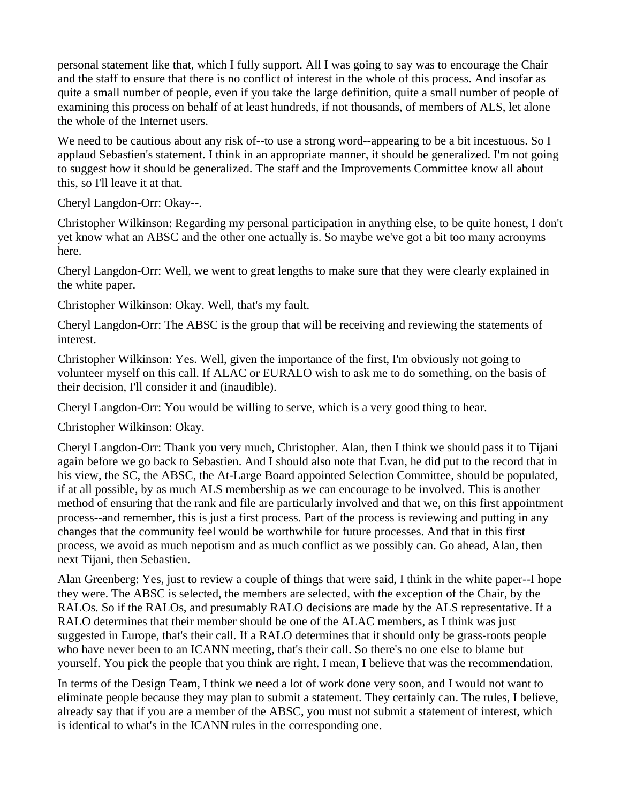personal statement like that, which I fully support. All I was going to say was to encourage the Chair and the staff to ensure that there is no conflict of interest in the whole of this process. And insofar as quite a small number of people, even if you take the large definition, quite a small number of people of examining this process on behalf of at least hundreds, if not thousands, of members of ALS, let alone the whole of the Internet users.

We need to be cautious about any risk of--to use a strong word--appearing to be a bit incestuous. So I applaud Sebastien's statement. I think in an appropriate manner, it should be generalized. I'm not going to suggest how it should be generalized. The staff and the Improvements Committee know all about this, so I'll leave it at that.

Cheryl Langdon-Orr: Okay--.

Christopher Wilkinson: Regarding my personal participation in anything else, to be quite honest, I don't yet know what an ABSC and the other one actually is. So maybe we've got a bit too many acronyms here.

Cheryl Langdon-Orr: Well, we went to great lengths to make sure that they were clearly explained in the white paper.

Christopher Wilkinson: Okay. Well, that's my fault.

Cheryl Langdon-Orr: The ABSC is the group that will be receiving and reviewing the statements of interest.

Christopher Wilkinson: Yes. Well, given the importance of the first, I'm obviously not going to volunteer myself on this call. If ALAC or EURALO wish to ask me to do something, on the basis of their decision, I'll consider it and (inaudible).

Cheryl Langdon-Orr: You would be willing to serve, which is a very good thing to hear.

Christopher Wilkinson: Okay.

Cheryl Langdon-Orr: Thank you very much, Christopher. Alan, then I think we should pass it to Tijani again before we go back to Sebastien. And I should also note that Evan, he did put to the record that in his view, the SC, the ABSC, the At-Large Board appointed Selection Committee, should be populated, if at all possible, by as much ALS membership as we can encourage to be involved. This is another method of ensuring that the rank and file are particularly involved and that we, on this first appointment process--and remember, this is just a first process. Part of the process is reviewing and putting in any changes that the community feel would be worthwhile for future processes. And that in this first process, we avoid as much nepotism and as much conflict as we possibly can. Go ahead, Alan, then next Tijani, then Sebastien.

Alan Greenberg: Yes, just to review a couple of things that were said, I think in the white paper--I hope they were. The ABSC is selected, the members are selected, with the exception of the Chair, by the RALOs. So if the RALOs, and presumably RALO decisions are made by the ALS representative. If a RALO determines that their member should be one of the ALAC members, as I think was just suggested in Europe, that's their call. If a RALO determines that it should only be grass-roots people who have never been to an ICANN meeting, that's their call. So there's no one else to blame but yourself. You pick the people that you think are right. I mean, I believe that was the recommendation.

In terms of the Design Team, I think we need a lot of work done very soon, and I would not want to eliminate people because they may plan to submit a statement. They certainly can. The rules, I believe, already say that if you are a member of the ABSC, you must not submit a statement of interest, which is identical to what's in the ICANN rules in the corresponding one.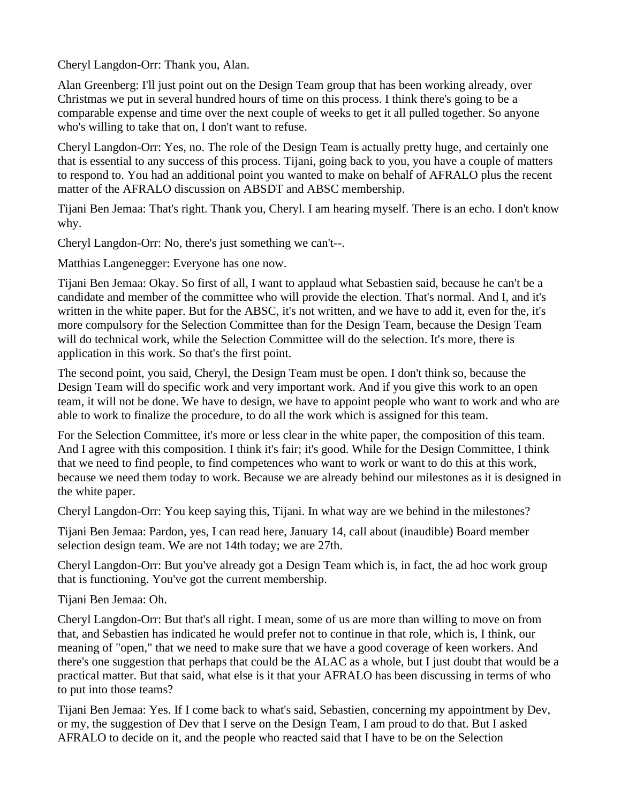Cheryl Langdon-Orr: Thank you, Alan.

Alan Greenberg: I'll just point out on the Design Team group that has been working already, over Christmas we put in several hundred hours of time on this process. I think there's going to be a comparable expense and time over the next couple of weeks to get it all pulled together. So anyone who's willing to take that on, I don't want to refuse.

Cheryl Langdon-Orr: Yes, no. The role of the Design Team is actually pretty huge, and certainly one that is essential to any success of this process. Tijani, going back to you, you have a couple of matters to respond to. You had an additional point you wanted to make on behalf of AFRALO plus the recent matter of the AFRALO discussion on ABSDT and ABSC membership.

Tijani Ben Jemaa: That's right. Thank you, Cheryl. I am hearing myself. There is an echo. I don't know why.

Cheryl Langdon-Orr: No, there's just something we can't--.

Matthias Langenegger: Everyone has one now.

Tijani Ben Jemaa: Okay. So first of all, I want to applaud what Sebastien said, because he can't be a candidate and member of the committee who will provide the election. That's normal. And I, and it's written in the white paper. But for the ABSC, it's not written, and we have to add it, even for the, it's more compulsory for the Selection Committee than for the Design Team, because the Design Team will do technical work, while the Selection Committee will do the selection. It's more, there is application in this work. So that's the first point.

The second point, you said, Cheryl, the Design Team must be open. I don't think so, because the Design Team will do specific work and very important work. And if you give this work to an open team, it will not be done. We have to design, we have to appoint people who want to work and who are able to work to finalize the procedure, to do all the work which is assigned for this team.

For the Selection Committee, it's more or less clear in the white paper, the composition of this team. And I agree with this composition. I think it's fair; it's good. While for the Design Committee, I think that we need to find people, to find competences who want to work or want to do this at this work, because we need them today to work. Because we are already behind our milestones as it is designed in the white paper.

Cheryl Langdon-Orr: You keep saying this, Tijani. In what way are we behind in the milestones?

Tijani Ben Jemaa: Pardon, yes, I can read here, January 14, call about (inaudible) Board member selection design team. We are not 14th today; we are 27th.

Cheryl Langdon-Orr: But you've already got a Design Team which is, in fact, the ad hoc work group that is functioning. You've got the current membership.

Tijani Ben Jemaa: Oh.

Cheryl Langdon-Orr: But that's all right. I mean, some of us are more than willing to move on from that, and Sebastien has indicated he would prefer not to continue in that role, which is, I think, our meaning of "open," that we need to make sure that we have a good coverage of keen workers. And there's one suggestion that perhaps that could be the ALAC as a whole, but I just doubt that would be a practical matter. But that said, what else is it that your AFRALO has been discussing in terms of who to put into those teams?

Tijani Ben Jemaa: Yes. If I come back to what's said, Sebastien, concerning my appointment by Dev, or my, the suggestion of Dev that I serve on the Design Team, I am proud to do that. But I asked AFRALO to decide on it, and the people who reacted said that I have to be on the Selection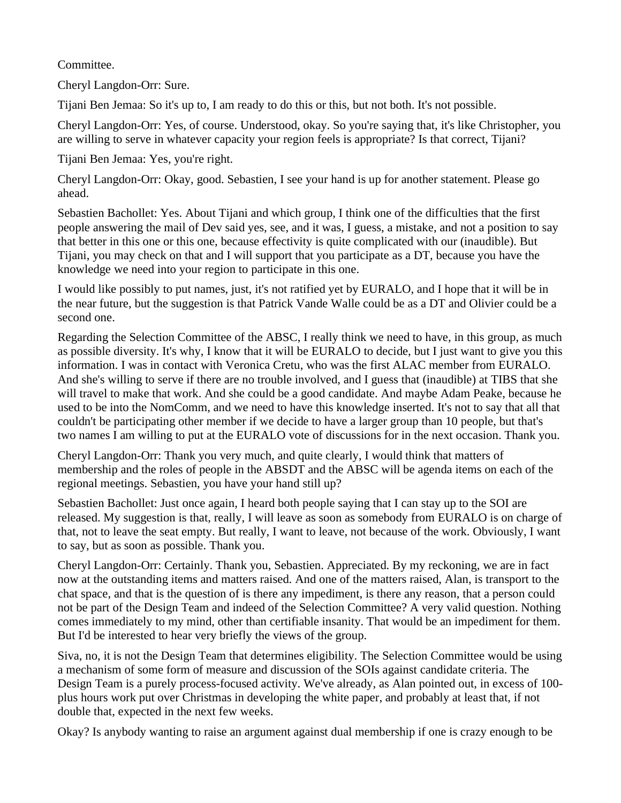Committee.

Cheryl Langdon-Orr: Sure.

Tijani Ben Jemaa: So it's up to, I am ready to do this or this, but not both. It's not possible.

Cheryl Langdon-Orr: Yes, of course. Understood, okay. So you're saying that, it's like Christopher, you are willing to serve in whatever capacity your region feels is appropriate? Is that correct, Tijani?

Tijani Ben Jemaa: Yes, you're right.

Cheryl Langdon-Orr: Okay, good. Sebastien, I see your hand is up for another statement. Please go ahead.

Sebastien Bachollet: Yes. About Tijani and which group, I think one of the difficulties that the first people answering the mail of Dev said yes, see, and it was, I guess, a mistake, and not a position to say that better in this one or this one, because effectivity is quite complicated with our (inaudible). But Tijani, you may check on that and I will support that you participate as a DT, because you have the knowledge we need into your region to participate in this one.

I would like possibly to put names, just, it's not ratified yet by EURALO, and I hope that it will be in the near future, but the suggestion is that Patrick Vande Walle could be as a DT and Olivier could be a second one.

Regarding the Selection Committee of the ABSC, I really think we need to have, in this group, as much as possible diversity. It's why, I know that it will be EURALO to decide, but I just want to give you this information. I was in contact with Veronica Cretu, who was the first ALAC member from EURALO. And she's willing to serve if there are no trouble involved, and I guess that (inaudible) at TIBS that she will travel to make that work. And she could be a good candidate. And maybe Adam Peake, because he used to be into the NomComm, and we need to have this knowledge inserted. It's not to say that all that couldn't be participating other member if we decide to have a larger group than 10 people, but that's two names I am willing to put at the EURALO vote of discussions for in the next occasion. Thank you.

Cheryl Langdon-Orr: Thank you very much, and quite clearly, I would think that matters of membership and the roles of people in the ABSDT and the ABSC will be agenda items on each of the regional meetings. Sebastien, you have your hand still up?

Sebastien Bachollet: Just once again, I heard both people saying that I can stay up to the SOI are released. My suggestion is that, really, I will leave as soon as somebody from EURALO is on charge of that, not to leave the seat empty. But really, I want to leave, not because of the work. Obviously, I want to say, but as soon as possible. Thank you.

Cheryl Langdon-Orr: Certainly. Thank you, Sebastien. Appreciated. By my reckoning, we are in fact now at the outstanding items and matters raised. And one of the matters raised, Alan, is transport to the chat space, and that is the question of is there any impediment, is there any reason, that a person could not be part of the Design Team and indeed of the Selection Committee? A very valid question. Nothing comes immediately to my mind, other than certifiable insanity. That would be an impediment for them. But I'd be interested to hear very briefly the views of the group.

Siva, no, it is not the Design Team that determines eligibility. The Selection Committee would be using a mechanism of some form of measure and discussion of the SOIs against candidate criteria. The Design Team is a purely process-focused activity. We've already, as Alan pointed out, in excess of 100 plus hours work put over Christmas in developing the white paper, and probably at least that, if not double that, expected in the next few weeks.

Okay? Is anybody wanting to raise an argument against dual membership if one is crazy enough to be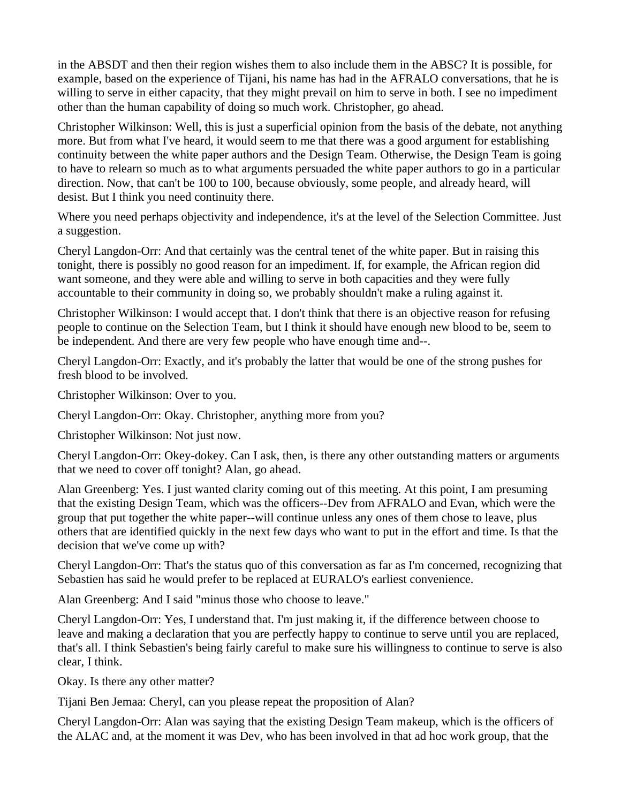in the ABSDT and then their region wishes them to also include them in the ABSC? It is possible, for example, based on the experience of Tijani, his name has had in the AFRALO conversations, that he is willing to serve in either capacity, that they might prevail on him to serve in both. I see no impediment other than the human capability of doing so much work. Christopher, go ahead.

Christopher Wilkinson: Well, this is just a superficial opinion from the basis of the debate, not anything more. But from what I've heard, it would seem to me that there was a good argument for establishing continuity between the white paper authors and the Design Team. Otherwise, the Design Team is going to have to relearn so much as to what arguments persuaded the white paper authors to go in a particular direction. Now, that can't be 100 to 100, because obviously, some people, and already heard, will desist. But I think you need continuity there.

Where you need perhaps objectivity and independence, it's at the level of the Selection Committee. Just a suggestion.

Cheryl Langdon-Orr: And that certainly was the central tenet of the white paper. But in raising this tonight, there is possibly no good reason for an impediment. If, for example, the African region did want someone, and they were able and willing to serve in both capacities and they were fully accountable to their community in doing so, we probably shouldn't make a ruling against it.

Christopher Wilkinson: I would accept that. I don't think that there is an objective reason for refusing people to continue on the Selection Team, but I think it should have enough new blood to be, seem to be independent. And there are very few people who have enough time and--.

Cheryl Langdon-Orr: Exactly, and it's probably the latter that would be one of the strong pushes for fresh blood to be involved.

Christopher Wilkinson: Over to you.

Cheryl Langdon-Orr: Okay. Christopher, anything more from you?

Christopher Wilkinson: Not just now.

Cheryl Langdon-Orr: Okey-dokey. Can I ask, then, is there any other outstanding matters or arguments that we need to cover off tonight? Alan, go ahead.

Alan Greenberg: Yes. I just wanted clarity coming out of this meeting. At this point, I am presuming that the existing Design Team, which was the officers--Dev from AFRALO and Evan, which were the group that put together the white paper--will continue unless any ones of them chose to leave, plus others that are identified quickly in the next few days who want to put in the effort and time. Is that the decision that we've come up with?

Cheryl Langdon-Orr: That's the status quo of this conversation as far as I'm concerned, recognizing that Sebastien has said he would prefer to be replaced at EURALO's earliest convenience.

Alan Greenberg: And I said "minus those who choose to leave."

Cheryl Langdon-Orr: Yes, I understand that. I'm just making it, if the difference between choose to leave and making a declaration that you are perfectly happy to continue to serve until you are replaced, that's all. I think Sebastien's being fairly careful to make sure his willingness to continue to serve is also clear, I think.

Okay. Is there any other matter?

Tijani Ben Jemaa: Cheryl, can you please repeat the proposition of Alan?

Cheryl Langdon-Orr: Alan was saying that the existing Design Team makeup, which is the officers of the ALAC and, at the moment it was Dev, who has been involved in that ad hoc work group, that the